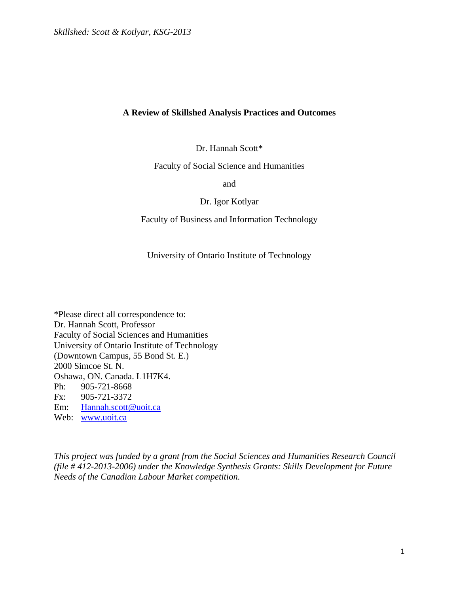Dr. Hannah Scott\*

Faculty of Social Science and Humanities

and

Dr. Igor Kotlyar

Faculty of Business and Information Technology

University of Ontario Institute of Technology

\*Please direct all correspondence to: Dr. Hannah Scott, Professor Faculty of Social Sciences and Humanities University of Ontario Institute of Technology (Downtown Campus, 55 Bond St. E.) 2000 Simcoe St. N. Oshawa, ON. Canada. L1H7K4. Ph: 905-721-8668 Fx: 905-721-3372 Em: Hannah.scott@uoit.ca Web: www.uoit.ca

*This project was funded by a grant from the Social Sciences and Humanities Research Council (file # 412-2013-2006) under the Knowledge Synthesis Grants: Skills Development for Future Needs of the Canadian Labour Market competition.*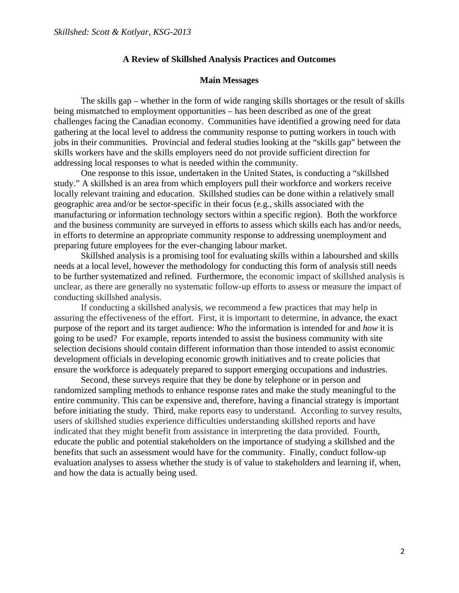#### **Main Messages**

 The skills gap – whether in the form of wide ranging skills shortages or the result of skills being mismatched to employment opportunities – has been described as one of the great challenges facing the Canadian economy. Communities have identified a growing need for data gathering at the local level to address the community response to putting workers in touch with jobs in their communities. Provincial and federal studies looking at the "skills gap" between the skills workers have and the skills employers need do not provide sufficient direction for addressing local responses to what is needed within the community.

One response to this issue, undertaken in the United States, is conducting a "skillshed study." A skillshed is an area from which employers pull their workforce and workers receive locally relevant training and education. Skillshed studies can be done within a relatively small geographic area and/or be sector-specific in their focus (e.g., skills associated with the manufacturing or information technology sectors within a specific region). Both the workforce and the business community are surveyed in efforts to assess which skills each has and/or needs, in efforts to determine an appropriate community response to addressing unemployment and preparing future employees for the ever-changing labour market.

 Skillshed analysis is a promising tool for evaluating skills within a labourshed and skills needs at a local level, however the methodology for conducting this form of analysis still needs to be further systematized and refined. Furthermore, the economic impact of skillshed analysis is unclear, as there are generally no systematic follow-up efforts to assess or measure the impact of conducting skillshed analysis.

 If conducting a skillshed analysis, we recommend a few practices that may help in assuring the effectiveness of the effort. First, it is important to determine, in advance, the exact purpose of the report and its target audience: *Who* the information is intended for and *how* it is going to be used? For example, reports intended to assist the business community with site selection decisions should contain different information than those intended to assist economic development officials in developing economic growth initiatives and to create policies that ensure the workforce is adequately prepared to support emerging occupations and industries.

Second, these surveys require that they be done by telephone or in person and randomized sampling methods to enhance response rates and make the study meaningful to the entire community. This can be expensive and, therefore, having a financial strategy is important before initiating the study. Third, make reports easy to understand. According to survey results, users of skillshed studies experience difficulties understanding skillshed reports and have indicated that they might benefit from assistance in interpreting the data provided. Fourth, educate the public and potential stakeholders on the importance of studying a skillshed and the benefits that such an assessment would have for the community. Finally, conduct follow-up evaluation analyses to assess whether the study is of value to stakeholders and learning if, when, and how the data is actually being used.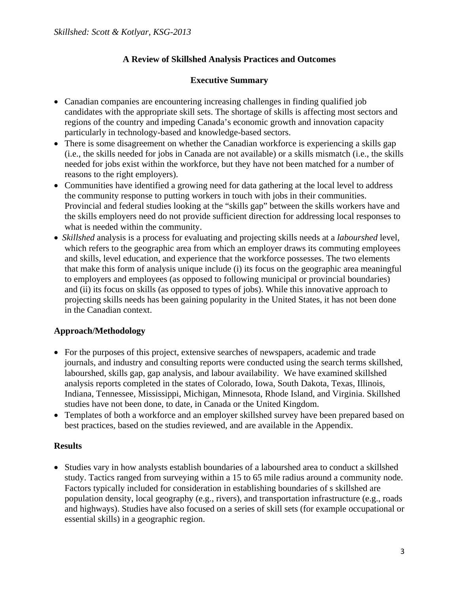# **Executive Summary**

- Canadian companies are encountering increasing challenges in finding qualified job candidates with the appropriate skill sets. The shortage of skills is affecting most sectors and regions of the country and impeding Canada's economic growth and innovation capacity particularly in technology-based and knowledge-based sectors.
- There is some disagreement on whether the Canadian workforce is experiencing a skills gap (i.e., the skills needed for jobs in Canada are not available) or a skills mismatch (i.e., the skills needed for jobs exist within the workforce, but they have not been matched for a number of reasons to the right employers).
- Communities have identified a growing need for data gathering at the local level to address the community response to putting workers in touch with jobs in their communities. Provincial and federal studies looking at the "skills gap" between the skills workers have and the skills employers need do not provide sufficient direction for addressing local responses to what is needed within the community.
- *Skillshed* analysis is a process for evaluating and projecting skills needs at a *labourshed* level, which refers to the geographic area from which an employer draws its commuting employees and skills, level education, and experience that the workforce possesses. The two elements that make this form of analysis unique include (i) its focus on the geographic area meaningful to employers and employees (as opposed to following municipal or provincial boundaries) and (ii) its focus on skills (as opposed to types of jobs). While this innovative approach to projecting skills needs has been gaining popularity in the United States, it has not been done in the Canadian context.

# **Approach/Methodology**

- For the purposes of this project, extensive searches of newspapers, academic and trade journals, and industry and consulting reports were conducted using the search terms skillshed, labourshed, skills gap, gap analysis, and labour availability. We have examined skillshed analysis reports completed in the states of Colorado, Iowa, South Dakota, Texas, Illinois, Indiana, Tennessee, Mississippi, Michigan, Minnesota, Rhode Island, and Virginia. Skillshed studies have not been done, to date, in Canada or the United Kingdom.
- Templates of both a workforce and an employer skillshed survey have been prepared based on best practices, based on the studies reviewed, and are available in the Appendix.

# **Results**

• Studies vary in how analysts establish boundaries of a labourshed area to conduct a skillshed study. Tactics ranged from surveying within a 15 to 65 mile radius around a community node. Factors typically included for consideration in establishing boundaries of s skillshed are population density, local geography (e.g., rivers), and transportation infrastructure (e.g., roads and highways). Studies have also focused on a series of skill sets (for example occupational or essential skills) in a geographic region.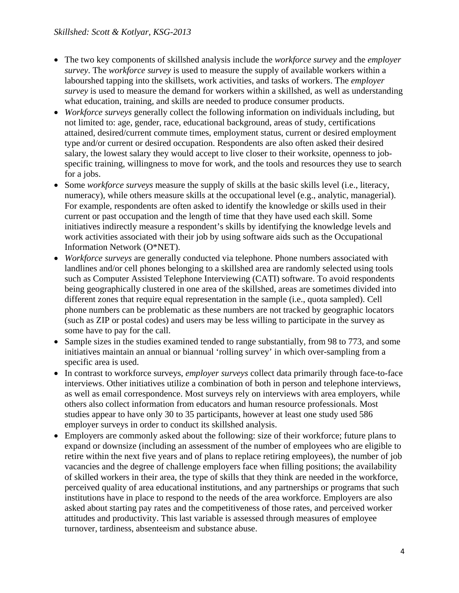- The two key components of skillshed analysis include the *workforce survey* and the *employer survey*. The *workforce survey* is used to measure the supply of available workers within a labourshed tapping into the skillsets, work activities, and tasks of workers. The *employer survey* is used to measure the demand for workers within a skillshed, as well as understanding what education, training, and skills are needed to produce consumer products.
- *Workforce surveys* generally collect the following information on individuals including, but not limited to: age, gender, race, educational background, areas of study, certifications attained, desired/current commute times, employment status, current or desired employment type and/or current or desired occupation. Respondents are also often asked their desired salary, the lowest salary they would accept to live closer to their worksite, openness to jobspecific training, willingness to move for work, and the tools and resources they use to search for a jobs.
- Some *workforce surveys* measure the supply of skills at the basic skills level (i.e., literacy, numeracy), while others measure skills at the occupational level (e.g., analytic, managerial). For example, respondents are often asked to identify the knowledge or skills used in their current or past occupation and the length of time that they have used each skill. Some initiatives indirectly measure a respondent's skills by identifying the knowledge levels and work activities associated with their job by using software aids such as the Occupational Information Network (O\*NET).
- *Workforce surveys* are generally conducted via telephone. Phone numbers associated with landlines and/or cell phones belonging to a skillshed area are randomly selected using tools such as Computer Assisted Telephone Interviewing (CATI) software. To avoid respondents being geographically clustered in one area of the skillshed, areas are sometimes divided into different zones that require equal representation in the sample (i.e., quota sampled). Cell phone numbers can be problematic as these numbers are not tracked by geographic locators (such as ZIP or postal codes) and users may be less willing to participate in the survey as some have to pay for the call.
- Sample sizes in the studies examined tended to range substantially, from 98 to 773, and some initiatives maintain an annual or biannual 'rolling survey' in which over-sampling from a specific area is used.
- In contrast to workforce surveys, *employer surveys* collect data primarily through face-to-face interviews. Other initiatives utilize a combination of both in person and telephone interviews, as well as email correspondence. Most surveys rely on interviews with area employers, while others also collect information from educators and human resource professionals. Most studies appear to have only 30 to 35 participants, however at least one study used 586 employer surveys in order to conduct its skillshed analysis.
- Employers are commonly asked about the following: size of their workforce; future plans to expand or downsize (including an assessment of the number of employees who are eligible to retire within the next five years and of plans to replace retiring employees), the number of job vacancies and the degree of challenge employers face when filling positions; the availability of skilled workers in their area, the type of skills that they think are needed in the workforce, perceived quality of area educational institutions, and any partnerships or programs that such institutions have in place to respond to the needs of the area workforce. Employers are also asked about starting pay rates and the competitiveness of those rates, and perceived worker attitudes and productivity. This last variable is assessed through measures of employee turnover, tardiness, absenteeism and substance abuse.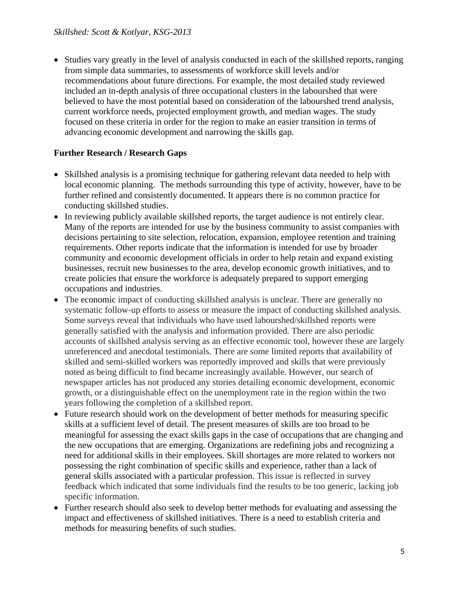• Studies vary greatly in the level of analysis conducted in each of the skillshed reports, ranging from simple data summaries, to assessments of workforce skill levels and/or recommendations about future directions. For example, the most detailed study reviewed included an in-depth analysis of three occupational clusters in the labourshed that were believed to have the most potential based on consideration of the labourshed trend analysis, current workforce needs, projected employment growth, and median wages. The study focused on these criteria in order for the region to make an easier transition in terms of advancing economic development and narrowing the skills gap.

# **Further Research / Research Gaps**

- Skillshed analysis is a promising technique for gathering relevant data needed to help with local economic planning. The methods surrounding this type of activity, however, have to be further refined and consistently documented. It appears there is no common practice for conducting skillshed studies.
- In reviewing publicly available skillshed reports, the target audience is not entirely clear. Many of the reports are intended for use by the business community to assist companies with decisions pertaining to site selection, relocation, expansion, employee retention and training requirements. Other reports indicate that the information is intended for use by broader community and economic development officials in order to help retain and expand existing businesses, recruit new businesses to the area, develop economic growth initiatives, and to create policies that ensure the workforce is adequately prepared to support emerging occupations and industries.
- The economic impact of conducting skillshed analysis is unclear. There are generally no systematic follow-up efforts to assess or measure the impact of conducting skillshed analysis. Some surveys reveal that individuals who have used labourshed/skillshed reports were generally satisfied with the analysis and information provided. There are also periodic accounts of skillshed analysis serving as an effective economic tool, however these are largely unreferenced and anecdotal testimonials. There are some limited reports that availability of skilled and semi-skilled workers was reportedly improved and skills that were previously noted as being difficult to find became increasingly available. However, our search of newspaper articles has not produced any stories detailing economic development, economic growth, or a distinguishable effect on the unemployment rate in the region within the two years following the completion of a skillshed report.
- Future research should work on the development of better methods for measuring specific skills at a sufficient level of detail. The present measures of skills are too broad to be meaningful for assessing the exact skills gaps in the case of occupations that are changing and the new occupations that are emerging. Organizations are redefining jobs and recognizing a need for additional skills in their employees. Skill shortages are more related to workers not possessing the right combination of specific skills and experience, rather than a lack of general skills associated with a particular profession. This issue is reflected in survey feedback which indicated that some individuals find the results to be too generic, lacking job specific information.
- Further research should also seek to develop better methods for evaluating and assessing the impact and effectiveness of skillshed initiatives. There is a need to establish criteria and methods for measuring benefits of such studies.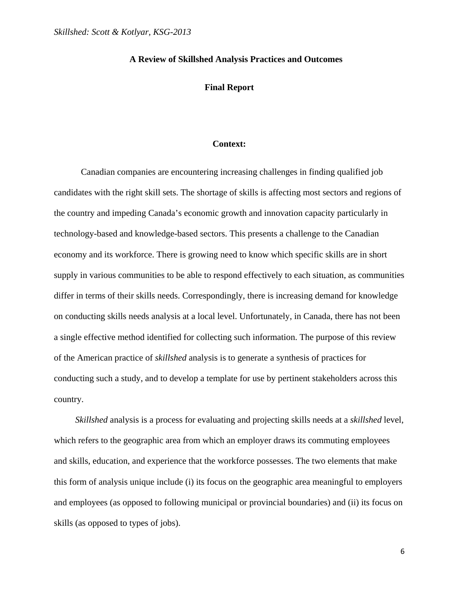#### **Final Report**

#### **Context:**

 Canadian companies are encountering increasing challenges in finding qualified job candidates with the right skill sets. The shortage of skills is affecting most sectors and regions of the country and impeding Canada's economic growth and innovation capacity particularly in technology-based and knowledge-based sectors. This presents a challenge to the Canadian economy and its workforce. There is growing need to know which specific skills are in short supply in various communities to be able to respond effectively to each situation, as communities differ in terms of their skills needs. Correspondingly, there is increasing demand for knowledge on conducting skills needs analysis at a local level. Unfortunately, in Canada, there has not been a single effective method identified for collecting such information. The purpose of this review of the American practice of *skillshed* analysis is to generate a synthesis of practices for conducting such a study, and to develop a template for use by pertinent stakeholders across this country.

*Skillshed* analysis is a process for evaluating and projecting skills needs at a *skillshed* level, which refers to the geographic area from which an employer draws its commuting employees and skills, education, and experience that the workforce possesses. The two elements that make this form of analysis unique include (i) its focus on the geographic area meaningful to employers and employees (as opposed to following municipal or provincial boundaries) and (ii) its focus on skills (as opposed to types of jobs).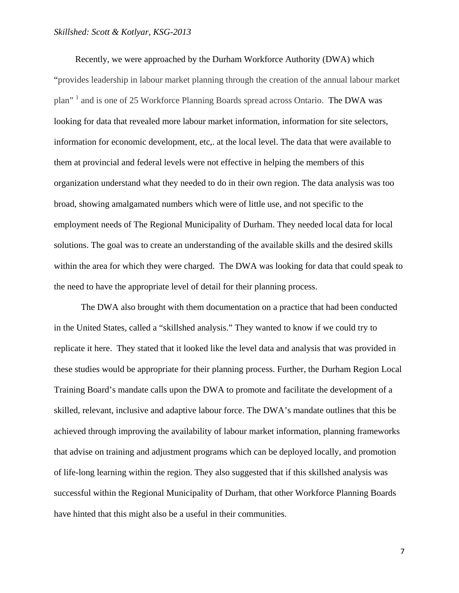Recently, we were approached by the Durham Workforce Authority (DWA) which "provides leadership in labour market planning through the creation of the annual labour market plan"<sup>1</sup> and is one of 25 Workforce Planning Boards spread across Ontario. The DWA was looking for data that revealed more labour market information, information for site selectors, information for economic development, etc,. at the local level. The data that were available to them at provincial and federal levels were not effective in helping the members of this organization understand what they needed to do in their own region. The data analysis was too broad, showing amalgamated numbers which were of little use, and not specific to the employment needs of The Regional Municipality of Durham. They needed local data for local solutions. The goal was to create an understanding of the available skills and the desired skills within the area for which they were charged. The DWA was looking for data that could speak to the need to have the appropriate level of detail for their planning process.

The DWA also brought with them documentation on a practice that had been conducted in the United States, called a "skillshed analysis." They wanted to know if we could try to replicate it here. They stated that it looked like the level data and analysis that was provided in these studies would be appropriate for their planning process. Further, the Durham Region Local Training Board's mandate calls upon the DWA to promote and facilitate the development of a skilled, relevant, inclusive and adaptive labour force. The DWA's mandate outlines that this be achieved through improving the availability of labour market information, planning frameworks that advise on training and adjustment programs which can be deployed locally, and promotion of life-long learning within the region. They also suggested that if this skillshed analysis was successful within the Regional Municipality of Durham, that other Workforce Planning Boards have hinted that this might also be a useful in their communities.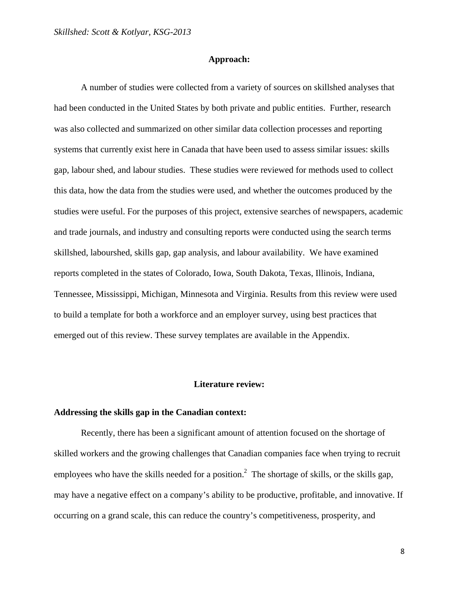#### **Approach:**

 A number of studies were collected from a variety of sources on skillshed analyses that had been conducted in the United States by both private and public entities. Further, research was also collected and summarized on other similar data collection processes and reporting systems that currently exist here in Canada that have been used to assess similar issues: skills gap, labour shed, and labour studies. These studies were reviewed for methods used to collect this data, how the data from the studies were used, and whether the outcomes produced by the studies were useful. For the purposes of this project, extensive searches of newspapers, academic and trade journals, and industry and consulting reports were conducted using the search terms skillshed, labourshed, skills gap, gap analysis, and labour availability. We have examined reports completed in the states of Colorado, Iowa, South Dakota, Texas, Illinois, Indiana, Tennessee, Mississippi, Michigan, Minnesota and Virginia. Results from this review were used to build a template for both a workforce and an employer survey, using best practices that emerged out of this review. These survey templates are available in the Appendix.

#### **Literature review:**

### **Addressing the skills gap in the Canadian context:**

Recently, there has been a significant amount of attention focused on the shortage of skilled workers and the growing challenges that Canadian companies face when trying to recruit employees who have the skills needed for a position.<sup>2</sup> The shortage of skills, or the skills gap, may have a negative effect on a company's ability to be productive, profitable, and innovative. If occurring on a grand scale, this can reduce the country's competitiveness, prosperity, and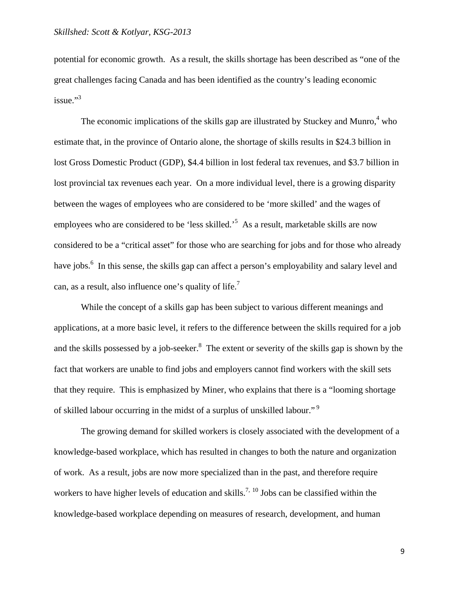potential for economic growth. As a result, the skills shortage has been described as "one of the great challenges facing Canada and has been identified as the country's leading economic  $i$ ssue." $3$ 

The economic implications of the skills gap are illustrated by Stuckey and Munro, $4\text{ who}$ estimate that, in the province of Ontario alone, the shortage of skills results in \$24.3 billion in lost Gross Domestic Product (GDP), \$4.4 billion in lost federal tax revenues, and \$3.7 billion in lost provincial tax revenues each year. On a more individual level, there is a growing disparity between the wages of employees who are considered to be 'more skilled' and the wages of employees who are considered to be 'less skilled.<sup>5</sup> As a result, marketable skills are now considered to be a "critical asset" for those who are searching for jobs and for those who already have jobs.<sup>6</sup> In this sense, the skills gap can affect a person's employability and salary level and can, as a result, also influence one's quality of life.<sup>7</sup>

While the concept of a skills gap has been subject to various different meanings and applications, at a more basic level, it refers to the difference between the skills required for a job and the skills possessed by a job-seeker. $8$  The extent or severity of the skills gap is shown by the fact that workers are unable to find jobs and employers cannot find workers with the skill sets that they require. This is emphasized by Miner, who explains that there is a "looming shortage of skilled labour occurring in the midst of a surplus of unskilled labour." 9

The growing demand for skilled workers is closely associated with the development of a knowledge-based workplace, which has resulted in changes to both the nature and organization of work. As a result, jobs are now more specialized than in the past, and therefore require workers to have higher levels of education and skills.<sup>7, 10</sup> Jobs can be classified within the knowledge-based workplace depending on measures of research, development, and human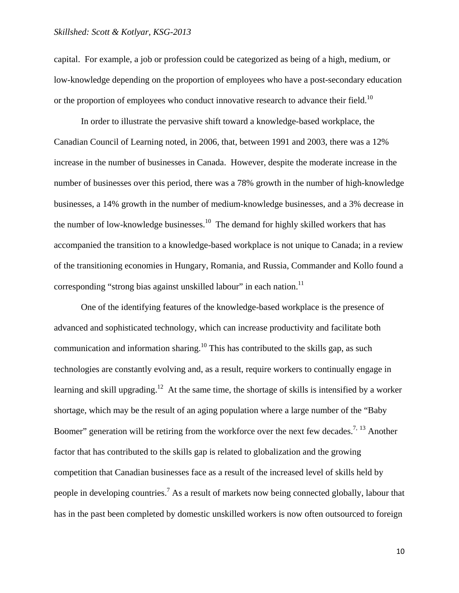capital. For example, a job or profession could be categorized as being of a high, medium, or low-knowledge depending on the proportion of employees who have a post-secondary education or the proportion of employees who conduct innovative research to advance their field.<sup>10</sup>

In order to illustrate the pervasive shift toward a knowledge-based workplace, the Canadian Council of Learning noted, in 2006, that, between 1991 and 2003, there was a 12% increase in the number of businesses in Canada. However, despite the moderate increase in the number of businesses over this period, there was a 78% growth in the number of high-knowledge businesses, a 14% growth in the number of medium-knowledge businesses, and a 3% decrease in the number of low-knowledge businesses.<sup>10</sup> The demand for highly skilled workers that has accompanied the transition to a knowledge-based workplace is not unique to Canada; in a review of the transitioning economies in Hungary, Romania, and Russia, Commander and Kollo found a corresponding "strong bias against unskilled labour" in each nation.<sup>11</sup>

One of the identifying features of the knowledge-based workplace is the presence of advanced and sophisticated technology, which can increase productivity and facilitate both communication and information sharing.<sup>10</sup> This has contributed to the skills gap, as such technologies are constantly evolving and, as a result, require workers to continually engage in learning and skill upgrading.<sup>12</sup> At the same time, the shortage of skills is intensified by a worker shortage, which may be the result of an aging population where a large number of the "Baby Boomer" generation will be retiring from the workforce over the next few decades.<sup>7, 13</sup> Another factor that has contributed to the skills gap is related to globalization and the growing competition that Canadian businesses face as a result of the increased level of skills held by people in developing countries.<sup>7</sup> As a result of markets now being connected globally, labour that has in the past been completed by domestic unskilled workers is now often outsourced to foreign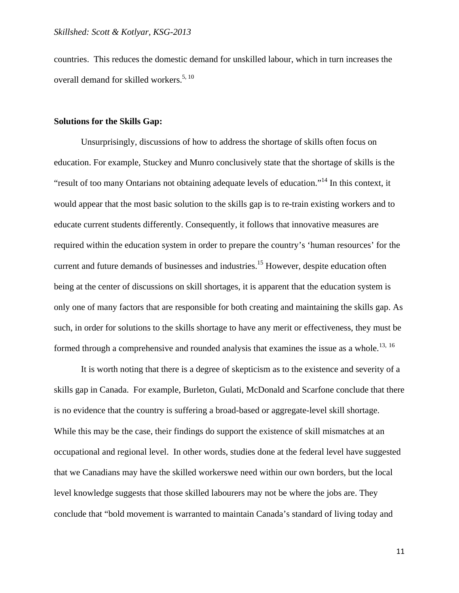countries. This reduces the domestic demand for unskilled labour, which in turn increases the overall demand for skilled workers.<sup>5, 10</sup>

#### **Solutions for the Skills Gap:**

 Unsurprisingly, discussions of how to address the shortage of skills often focus on education. For example, Stuckey and Munro conclusively state that the shortage of skills is the "result of too many Ontarians not obtaining adequate levels of education."14 In this context, it would appear that the most basic solution to the skills gap is to re-train existing workers and to educate current students differently. Consequently, it follows that innovative measures are required within the education system in order to prepare the country's 'human resources' for the current and future demands of businesses and industries.<sup>15</sup> However, despite education often being at the center of discussions on skill shortages, it is apparent that the education system is only one of many factors that are responsible for both creating and maintaining the skills gap. As such, in order for solutions to the skills shortage to have any merit or effectiveness, they must be formed through a comprehensive and rounded analysis that examines the issue as a whole.<sup>13, 16</sup>

 It is worth noting that there is a degree of skepticism as to the existence and severity of a skills gap in Canada. For example, Burleton, Gulati, McDonald and Scarfone conclude that there is no evidence that the country is suffering a broad-based or aggregate-level skill shortage. While this may be the case, their findings do support the existence of skill mismatches at an occupational and regional level. In other words, studies done at the federal level have suggested that we Canadians may have the skilled workerswe need within our own borders, but the local level knowledge suggests that those skilled labourers may not be where the jobs are. They conclude that "bold movement is warranted to maintain Canada's standard of living today and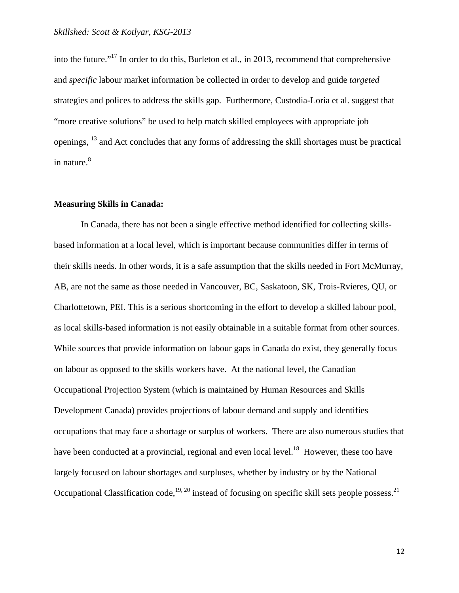into the future."17 In order to do this, Burleton et al., in 2013, recommend that comprehensive and *specific* labour market information be collected in order to develop and guide *targeted* strategies and polices to address the skills gap. Furthermore, Custodia-Loria et al. suggest that "more creative solutions" be used to help match skilled employees with appropriate job openings, 13 and Act concludes that any forms of addressing the skill shortages must be practical in nature.<sup>8</sup>

#### **Measuring Skills in Canada:**

 In Canada, there has not been a single effective method identified for collecting skillsbased information at a local level, which is important because communities differ in terms of their skills needs. In other words, it is a safe assumption that the skills needed in Fort McMurray, AB, are not the same as those needed in Vancouver, BC, Saskatoon, SK, Trois-Rvieres, QU, or Charlottetown, PEI. This is a serious shortcoming in the effort to develop a skilled labour pool, as local skills-based information is not easily obtainable in a suitable format from other sources. While sources that provide information on labour gaps in Canada do exist, they generally focus on labour as opposed to the skills workers have. At the national level, the Canadian Occupational Projection System (which is maintained by Human Resources and Skills Development Canada) provides projections of labour demand and supply and identifies occupations that may face a shortage or surplus of workers. There are also numerous studies that have been conducted at a provincial, regional and even local level.<sup>18</sup> However, these too have largely focused on labour shortages and surpluses, whether by industry or by the National Occupational Classification code,<sup>19, 20</sup> instead of focusing on specific skill sets people possess.<sup>21</sup>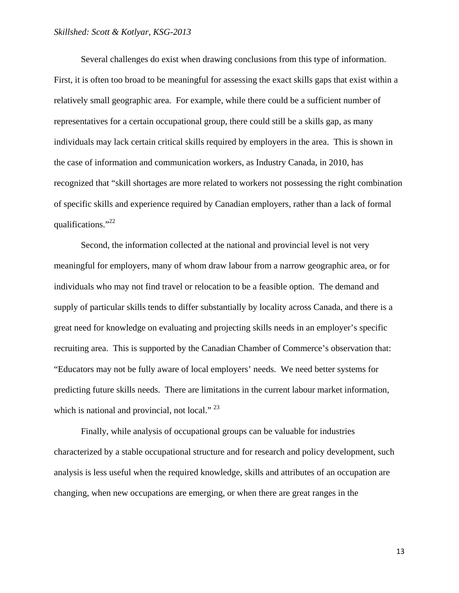Several challenges do exist when drawing conclusions from this type of information. First, it is often too broad to be meaningful for assessing the exact skills gaps that exist within a relatively small geographic area. For example, while there could be a sufficient number of representatives for a certain occupational group, there could still be a skills gap, as many individuals may lack certain critical skills required by employers in the area. This is shown in the case of information and communication workers, as Industry Canada, in 2010, has recognized that "skill shortages are more related to workers not possessing the right combination of specific skills and experience required by Canadian employers, rather than a lack of formal qualifications."22

Second, the information collected at the national and provincial level is not very meaningful for employers, many of whom draw labour from a narrow geographic area, or for individuals who may not find travel or relocation to be a feasible option. The demand and supply of particular skills tends to differ substantially by locality across Canada, and there is a great need for knowledge on evaluating and projecting skills needs in an employer's specific recruiting area. This is supported by the Canadian Chamber of Commerce's observation that: "Educators may not be fully aware of local employers' needs. We need better systems for predicting future skills needs. There are limitations in the current labour market information, which is national and provincial, not local."  $^{23}$ 

Finally, while analysis of occupational groups can be valuable for industries characterized by a stable occupational structure and for research and policy development, such analysis is less useful when the required knowledge, skills and attributes of an occupation are changing, when new occupations are emerging, or when there are great ranges in the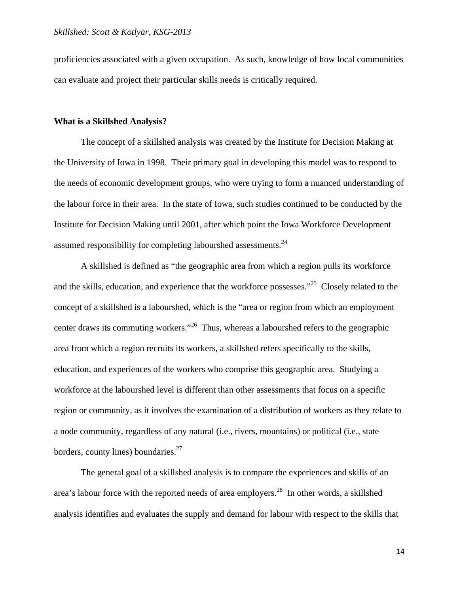proficiencies associated with a given occupation. As such, knowledge of how local communities can evaluate and project their particular skills needs is critically required.

#### **What is a Skillshed Analysis?**

 The concept of a skillshed analysis was created by the Institute for Decision Making at the University of Iowa in 1998. Their primary goal in developing this model was to respond to the needs of economic development groups, who were trying to form a nuanced understanding of the labour force in their area. In the state of Iowa, such studies continued to be conducted by the Institute for Decision Making until 2001, after which point the Iowa Workforce Development assumed responsibility for completing labourshed assessments.  $24$ 

 A skillshed is defined as "the geographic area from which a region pulls its workforce and the skills, education, and experience that the workforce possesses."<sup>25</sup> Closely related to the concept of a skillshed is a labourshed, which is the "area or region from which an employment center draws its commuting workers."26 Thus, whereas a labourshed refers to the geographic area from which a region recruits its workers, a skillshed refers specifically to the skills, education, and experiences of the workers who comprise this geographic area. Studying a workforce at the labourshed level is different than other assessments that focus on a specific region or community, as it involves the examination of a distribution of workers as they relate to a node community, regardless of any natural (i.e., rivers, mountains) or political (i.e., state borders, county lines) boundaries.<sup>27</sup>

 The general goal of a skillshed analysis is to compare the experiences and skills of an area's labour force with the reported needs of area employers.<sup>28</sup> In other words, a skillshed analysis identifies and evaluates the supply and demand for labour with respect to the skills that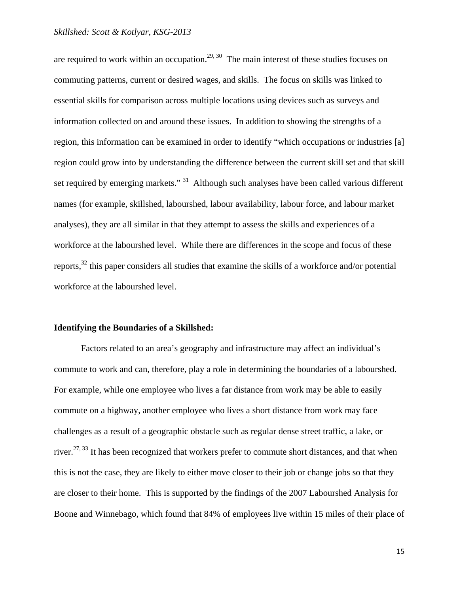are required to work within an occupation.<sup>29, 30</sup> The main interest of these studies focuses on commuting patterns, current or desired wages, and skills. The focus on skills was linked to essential skills for comparison across multiple locations using devices such as surveys and information collected on and around these issues. In addition to showing the strengths of a region, this information can be examined in order to identify "which occupations or industries [a] region could grow into by understanding the difference between the current skill set and that skill set required by emerging markets."<sup>31</sup> Although such analyses have been called various different names (for example, skillshed, labourshed, labour availability, labour force, and labour market analyses), they are all similar in that they attempt to assess the skills and experiences of a workforce at the labourshed level. While there are differences in the scope and focus of these reports,32 this paper considers all studies that examine the skills of a workforce and/or potential workforce at the labourshed level.

#### **Identifying the Boundaries of a Skillshed:**

 Factors related to an area's geography and infrastructure may affect an individual's commute to work and can, therefore, play a role in determining the boundaries of a labourshed. For example, while one employee who lives a far distance from work may be able to easily commute on a highway, another employee who lives a short distance from work may face challenges as a result of a geographic obstacle such as regular dense street traffic, a lake, or river.<sup>27, 33</sup> It has been recognized that workers prefer to commute short distances, and that when this is not the case, they are likely to either move closer to their job or change jobs so that they are closer to their home. This is supported by the findings of the 2007 Labourshed Analysis for Boone and Winnebago, which found that 84% of employees live within 15 miles of their place of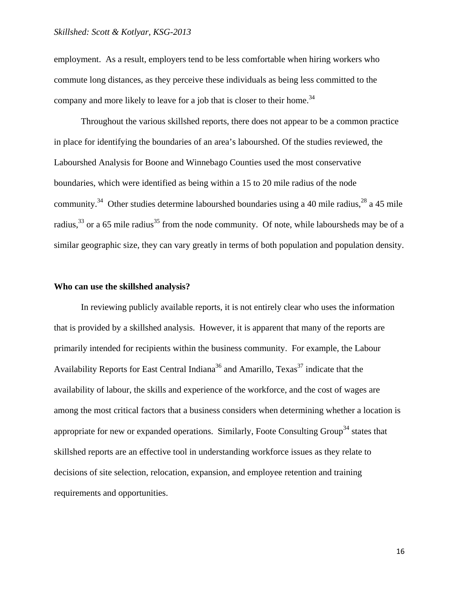employment. As a result, employers tend to be less comfortable when hiring workers who commute long distances, as they perceive these individuals as being less committed to the company and more likely to leave for a job that is closer to their home.<sup>34</sup>

 Throughout the various skillshed reports, there does not appear to be a common practice in place for identifying the boundaries of an area's labourshed. Of the studies reviewed, the Labourshed Analysis for Boone and Winnebago Counties used the most conservative boundaries, which were identified as being within a 15 to 20 mile radius of the node community.<sup>34</sup> Other studies determine labourshed boundaries using a 40 mile radius,<sup>28</sup> a 45 mile radius,<sup>33</sup> or a 65 mile radius<sup>35</sup> from the node community. Of note, while laboursheds may be of a similar geographic size, they can vary greatly in terms of both population and population density.

#### **Who can use the skillshed analysis?**

 In reviewing publicly available reports, it is not entirely clear who uses the information that is provided by a skillshed analysis. However, it is apparent that many of the reports are primarily intended for recipients within the business community. For example, the Labour Availability Reports for East Central Indiana<sup>36</sup> and Amarillo, Texas<sup>37</sup> indicate that the availability of labour, the skills and experience of the workforce, and the cost of wages are among the most critical factors that a business considers when determining whether a location is appropriate for new or expanded operations. Similarly, Foote Consulting Group<sup>34</sup> states that skillshed reports are an effective tool in understanding workforce issues as they relate to decisions of site selection, relocation, expansion, and employee retention and training requirements and opportunities.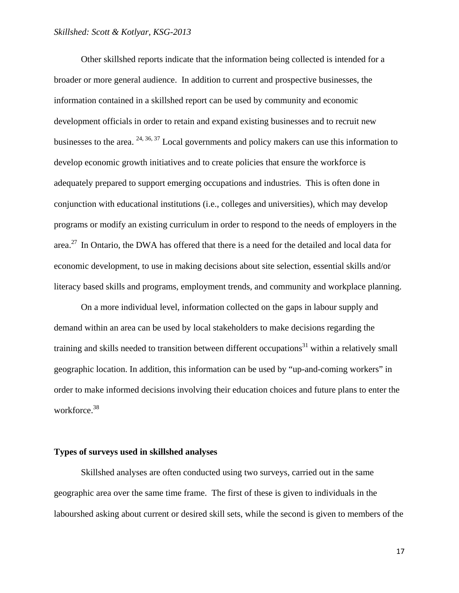Other skillshed reports indicate that the information being collected is intended for a broader or more general audience. In addition to current and prospective businesses, the information contained in a skillshed report can be used by community and economic development officials in order to retain and expand existing businesses and to recruit new businesses to the area.  $24, 36, 37$  Local governments and policy makers can use this information to develop economic growth initiatives and to create policies that ensure the workforce is adequately prepared to support emerging occupations and industries. This is often done in conjunction with educational institutions (i.e., colleges and universities), which may develop programs or modify an existing curriculum in order to respond to the needs of employers in the area.<sup>27</sup> In Ontario, the DWA has offered that there is a need for the detailed and local data for economic development, to use in making decisions about site selection, essential skills and/or literacy based skills and programs, employment trends, and community and workplace planning.

 On a more individual level, information collected on the gaps in labour supply and demand within an area can be used by local stakeholders to make decisions regarding the training and skills needed to transition between different occupations<sup>31</sup> within a relatively small geographic location. In addition, this information can be used by "up-and-coming workers" in order to make informed decisions involving their education choices and future plans to enter the workforce.<sup>38</sup>

#### **Types of surveys used in skillshed analyses**

 Skillshed analyses are often conducted using two surveys, carried out in the same geographic area over the same time frame. The first of these is given to individuals in the labourshed asking about current or desired skill sets, while the second is given to members of the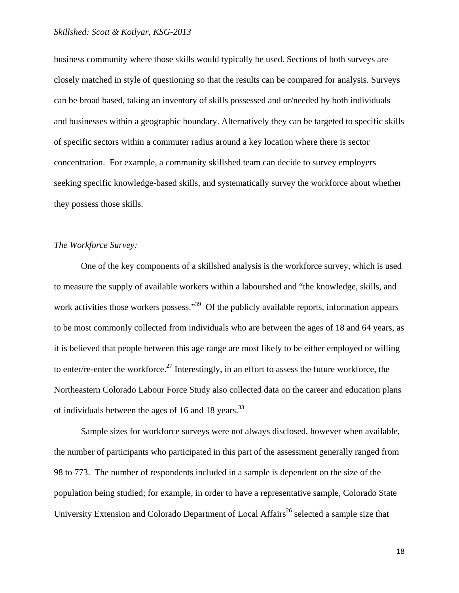business community where those skills would typically be used. Sections of both surveys are closely matched in style of questioning so that the results can be compared for analysis. Surveys can be broad based, taking an inventory of skills possessed and or/needed by both individuals and businesses within a geographic boundary. Alternatively they can be targeted to specific skills of specific sectors within a commuter radius around a key location where there is sector concentration. For example, a community skillshed team can decide to survey employers seeking specific knowledge-based skills, and systematically survey the workforce about whether they possess those skills.

### *The Workforce Survey:*

 One of the key components of a skillshed analysis is the workforce survey, which is used to measure the supply of available workers within a labourshed and "the knowledge, skills, and work activities those workers possess."<sup>39</sup> Of the publicly available reports, information appears to be most commonly collected from individuals who are between the ages of 18 and 64 years, as it is believed that people between this age range are most likely to be either employed or willing to enter/re-enter the workforce.<sup>27</sup> Interestingly, in an effort to assess the future workforce, the Northeastern Colorado Labour Force Study also collected data on the career and education plans of individuals between the ages of 16 and 18 years. $^{33}$ 

Sample sizes for workforce surveys were not always disclosed, however when available, the number of participants who participated in this part of the assessment generally ranged from 98 to 773. The number of respondents included in a sample is dependent on the size of the population being studied; for example, in order to have a representative sample, Colorado State University Extension and Colorado Department of Local Affairs<sup>26</sup> selected a sample size that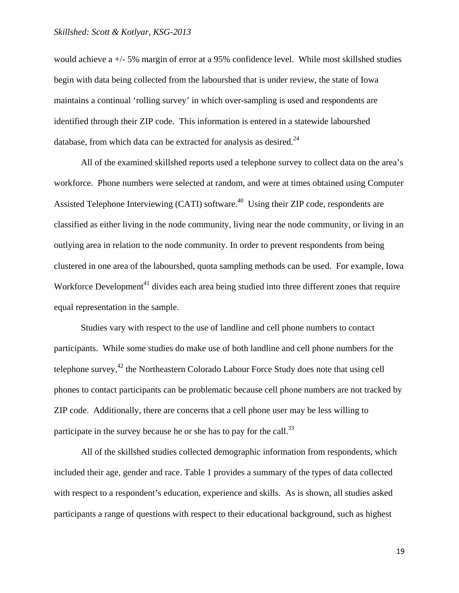would achieve a +/- 5% margin of error at a 95% confidence level. While most skillshed studies begin with data being collected from the labourshed that is under review, the state of Iowa maintains a continual 'rolling survey' in which over-sampling is used and respondents are identified through their ZIP code. This information is entered in a statewide labourshed database, from which data can be extracted for analysis as desired. $24$ 

All of the examined skillshed reports used a telephone survey to collect data on the area's workforce. Phone numbers were selected at random, and were at times obtained using Computer Assisted Telephone Interviewing (CATI) software.<sup>40</sup> Using their ZIP code, respondents are classified as either living in the node community, living near the node community, or living in an outlying area in relation to the node community. In order to prevent respondents from being clustered in one area of the labourshed, quota sampling methods can be used. For example, Iowa Workforce Development<sup>41</sup> divides each area being studied into three different zones that require equal representation in the sample.

Studies vary with respect to the use of landline and cell phone numbers to contact participants. While some studies do make use of both landline and cell phone numbers for the telephone survey,<sup>42</sup> the Northeastern Colorado Labour Force Study does note that using cell phones to contact participants can be problematic because cell phone numbers are not tracked by ZIP code. Additionally, there are concerns that a cell phone user may be less willing to participate in the survey because he or she has to pay for the call.<sup>33</sup>

All of the skillshed studies collected demographic information from respondents, which included their age, gender and race. Table 1 provides a summary of the types of data collected with respect to a respondent's education, experience and skills. As is shown, all studies asked participants a range of questions with respect to their educational background, such as highest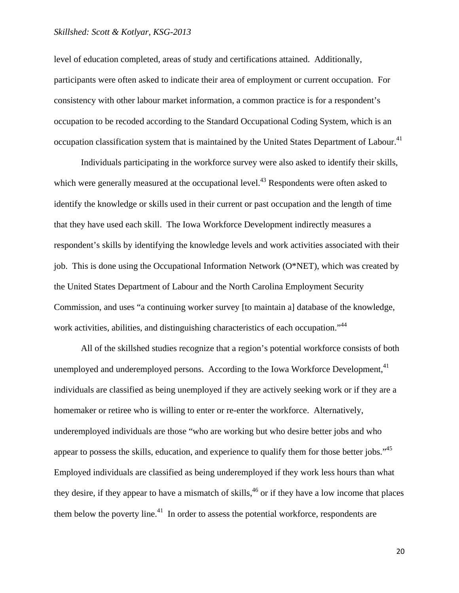level of education completed, areas of study and certifications attained. Additionally, participants were often asked to indicate their area of employment or current occupation. For consistency with other labour market information, a common practice is for a respondent's occupation to be recoded according to the Standard Occupational Coding System, which is an occupation classification system that is maintained by the United States Department of Labour.<sup>41</sup>

Individuals participating in the workforce survey were also asked to identify their skills, which were generally measured at the occupational level.<sup>43</sup> Respondents were often asked to identify the knowledge or skills used in their current or past occupation and the length of time that they have used each skill. The Iowa Workforce Development indirectly measures a respondent's skills by identifying the knowledge levels and work activities associated with their job. This is done using the Occupational Information Network (O\*NET), which was created by the United States Department of Labour and the North Carolina Employment Security Commission, and uses "a continuing worker survey [to maintain a] database of the knowledge, work activities, abilities, and distinguishing characteristics of each occupation."<sup>44</sup>

All of the skillshed studies recognize that a region's potential workforce consists of both unemployed and underemployed persons. According to the Iowa Workforce Development,<sup>41</sup> individuals are classified as being unemployed if they are actively seeking work or if they are a homemaker or retiree who is willing to enter or re-enter the workforce. Alternatively, underemployed individuals are those "who are working but who desire better jobs and who appear to possess the skills, education, and experience to qualify them for those better jobs."<sup>45</sup> Employed individuals are classified as being underemployed if they work less hours than what they desire, if they appear to have a mismatch of skills,<sup>46</sup> or if they have a low income that places them below the poverty line.<sup>41</sup> In order to assess the potential workforce, respondents are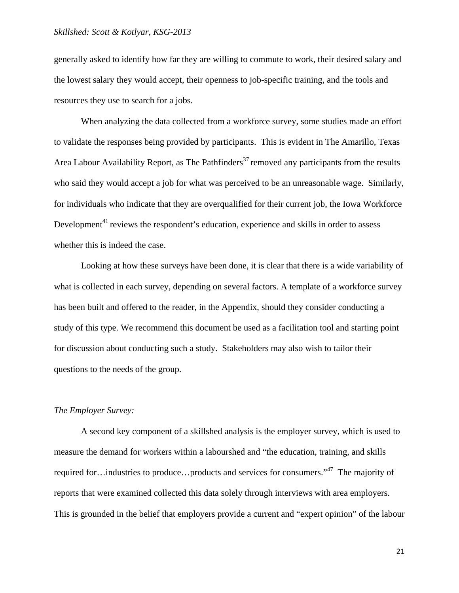generally asked to identify how far they are willing to commute to work, their desired salary and the lowest salary they would accept, their openness to job-specific training, and the tools and resources they use to search for a jobs.

 When analyzing the data collected from a workforce survey, some studies made an effort to validate the responses being provided by participants. This is evident in The Amarillo, Texas Area Labour Availability Report, as The Pathfinders<sup>37</sup> removed any participants from the results who said they would accept a job for what was perceived to be an unreasonable wage. Similarly, for individuals who indicate that they are overqualified for their current job, the Iowa Workforce Development<sup>41</sup> reviews the respondent's education, experience and skills in order to assess whether this is indeed the case.

 Looking at how these surveys have been done, it is clear that there is a wide variability of what is collected in each survey, depending on several factors. A template of a workforce survey has been built and offered to the reader, in the Appendix, should they consider conducting a study of this type. We recommend this document be used as a facilitation tool and starting point for discussion about conducting such a study. Stakeholders may also wish to tailor their questions to the needs of the group.

#### *The Employer Survey:*

 A second key component of a skillshed analysis is the employer survey, which is used to measure the demand for workers within a labourshed and "the education, training, and skills required for…industries to produce…products and services for consumers."47 The majority of reports that were examined collected this data solely through interviews with area employers. This is grounded in the belief that employers provide a current and "expert opinion" of the labour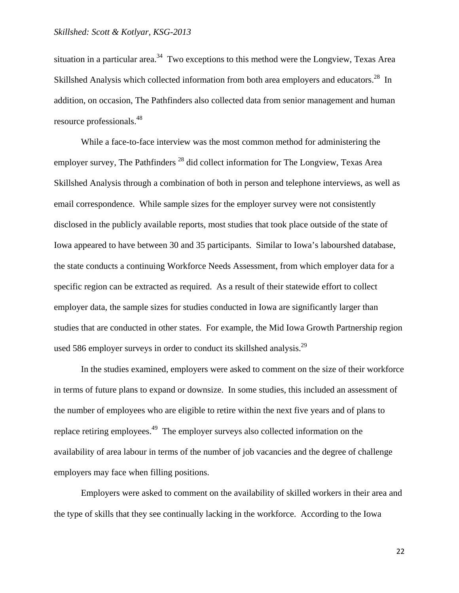situation in a particular area.<sup>34</sup> Two exceptions to this method were the Longview, Texas Area Skillshed Analysis which collected information from both area employers and educators.<sup>28</sup> In addition, on occasion, The Pathfinders also collected data from senior management and human resource professionals.48

 While a face-to-face interview was the most common method for administering the employer survey, The Pathfinders<sup>28</sup> did collect information for The Longview, Texas Area Skillshed Analysis through a combination of both in person and telephone interviews, as well as email correspondence. While sample sizes for the employer survey were not consistently disclosed in the publicly available reports, most studies that took place outside of the state of Iowa appeared to have between 30 and 35 participants. Similar to Iowa's labourshed database, the state conducts a continuing Workforce Needs Assessment, from which employer data for a specific region can be extracted as required. As a result of their statewide effort to collect employer data, the sample sizes for studies conducted in Iowa are significantly larger than studies that are conducted in other states. For example, the Mid Iowa Growth Partnership region used 586 employer surveys in order to conduct its skillshed analysis.<sup>29</sup>

 In the studies examined, employers were asked to comment on the size of their workforce in terms of future plans to expand or downsize. In some studies, this included an assessment of the number of employees who are eligible to retire within the next five years and of plans to replace retiring employees.<sup>49</sup> The employer surveys also collected information on the availability of area labour in terms of the number of job vacancies and the degree of challenge employers may face when filling positions.

 Employers were asked to comment on the availability of skilled workers in their area and the type of skills that they see continually lacking in the workforce. According to the Iowa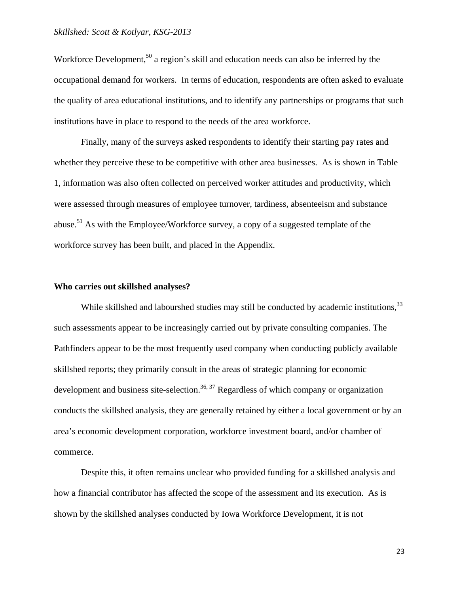Workforce Development,<sup>50</sup> a region's skill and education needs can also be inferred by the occupational demand for workers. In terms of education, respondents are often asked to evaluate the quality of area educational institutions, and to identify any partnerships or programs that such institutions have in place to respond to the needs of the area workforce.

 Finally, many of the surveys asked respondents to identify their starting pay rates and whether they perceive these to be competitive with other area businesses. As is shown in Table 1, information was also often collected on perceived worker attitudes and productivity, which were assessed through measures of employee turnover, tardiness, absenteeism and substance abuse.51 As with the Employee/Workforce survey, a copy of a suggested template of the workforce survey has been built, and placed in the Appendix.

#### **Who carries out skillshed analyses?**

While skillshed and labourshed studies may still be conducted by academic institutions, 33 such assessments appear to be increasingly carried out by private consulting companies. The Pathfinders appear to be the most frequently used company when conducting publicly available skillshed reports; they primarily consult in the areas of strategic planning for economic development and business site-selection.<sup>36, 37</sup> Regardless of which company or organization conducts the skillshed analysis, they are generally retained by either a local government or by an area's economic development corporation, workforce investment board, and/or chamber of commerce.

 Despite this, it often remains unclear who provided funding for a skillshed analysis and how a financial contributor has affected the scope of the assessment and its execution. As is shown by the skillshed analyses conducted by Iowa Workforce Development, it is not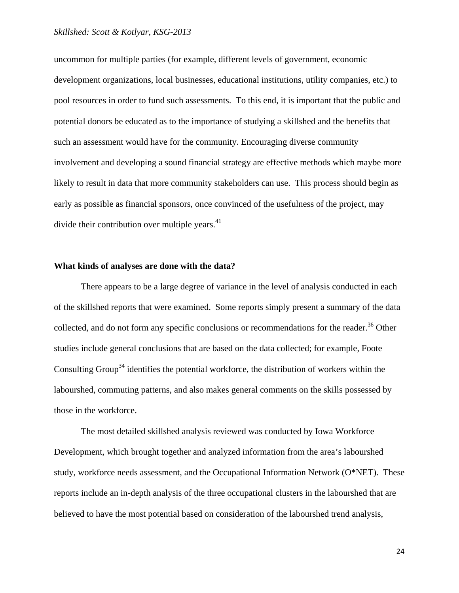uncommon for multiple parties (for example, different levels of government, economic development organizations, local businesses, educational institutions, utility companies, etc.) to pool resources in order to fund such assessments. To this end, it is important that the public and potential donors be educated as to the importance of studying a skillshed and the benefits that such an assessment would have for the community. Encouraging diverse community involvement and developing a sound financial strategy are effective methods which maybe more likely to result in data that more community stakeholders can use. This process should begin as early as possible as financial sponsors, once convinced of the usefulness of the project, may divide their contribution over multiple years. $41$ 

#### **What kinds of analyses are done with the data?**

 There appears to be a large degree of variance in the level of analysis conducted in each of the skillshed reports that were examined. Some reports simply present a summary of the data collected, and do not form any specific conclusions or recommendations for the reader.<sup>36</sup> Other studies include general conclusions that are based on the data collected; for example, Foote Consulting Group<sup>34</sup> identifies the potential workforce, the distribution of workers within the labourshed, commuting patterns, and also makes general comments on the skills possessed by those in the workforce.

 The most detailed skillshed analysis reviewed was conducted by Iowa Workforce Development, which brought together and analyzed information from the area's labourshed study, workforce needs assessment, and the Occupational Information Network (O\*NET). These reports include an in-depth analysis of the three occupational clusters in the labourshed that are believed to have the most potential based on consideration of the labourshed trend analysis,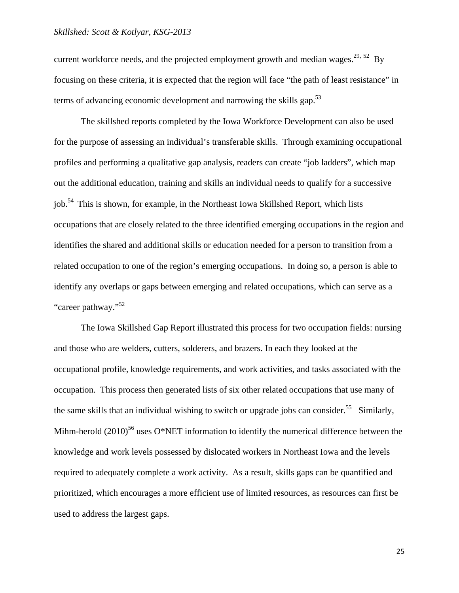current workforce needs, and the projected employment growth and median wages.<sup>29, 52</sup> By focusing on these criteria, it is expected that the region will face "the path of least resistance" in terms of advancing economic development and narrowing the skills gap.<sup>53</sup>

 The skillshed reports completed by the Iowa Workforce Development can also be used for the purpose of assessing an individual's transferable skills. Through examining occupational profiles and performing a qualitative gap analysis, readers can create "job ladders", which map out the additional education, training and skills an individual needs to qualify for a successive iob.<sup>54</sup> This is shown, for example, in the Northeast Iowa Skillshed Report, which lists occupations that are closely related to the three identified emerging occupations in the region and identifies the shared and additional skills or education needed for a person to transition from a related occupation to one of the region's emerging occupations. In doing so, a person is able to identify any overlaps or gaps between emerging and related occupations, which can serve as a "career pathway."<sup>52</sup>

The Iowa Skillshed Gap Report illustrated this process for two occupation fields: nursing and those who are welders, cutters, solderers, and brazers. In each they looked at the occupational profile, knowledge requirements, and work activities, and tasks associated with the occupation. This process then generated lists of six other related occupations that use many of the same skills that an individual wishing to switch or upgrade jobs can consider.<sup>55</sup> Similarly, Mihm-herold  $(2010)^{56}$  uses O\*NET information to identify the numerical difference between the knowledge and work levels possessed by dislocated workers in Northeast Iowa and the levels required to adequately complete a work activity. As a result, skills gaps can be quantified and prioritized, which encourages a more efficient use of limited resources, as resources can first be used to address the largest gaps.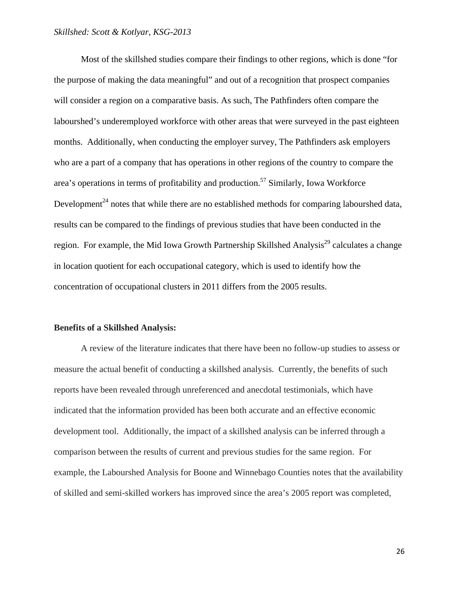Most of the skillshed studies compare their findings to other regions, which is done "for the purpose of making the data meaningful" and out of a recognition that prospect companies will consider a region on a comparative basis. As such, The Pathfinders often compare the labourshed's underemployed workforce with other areas that were surveyed in the past eighteen months. Additionally, when conducting the employer survey, The Pathfinders ask employers who are a part of a company that has operations in other regions of the country to compare the area's operations in terms of profitability and production.57 Similarly, Iowa Workforce Development<sup>24</sup> notes that while there are no established methods for comparing labourshed data, results can be compared to the findings of previous studies that have been conducted in the region. For example, the Mid Iowa Growth Partnership Skillshed Analysis<sup>29</sup> calculates a change in location quotient for each occupational category, which is used to identify how the concentration of occupational clusters in 2011 differs from the 2005 results.

#### **Benefits of a Skillshed Analysis:**

 A review of the literature indicates that there have been no follow-up studies to assess or measure the actual benefit of conducting a skillshed analysis. Currently, the benefits of such reports have been revealed through unreferenced and anecdotal testimonials, which have indicated that the information provided has been both accurate and an effective economic development tool. Additionally, the impact of a skillshed analysis can be inferred through a comparison between the results of current and previous studies for the same region. For example, the Labourshed Analysis for Boone and Winnebago Counties notes that the availability of skilled and semi-skilled workers has improved since the area's 2005 report was completed,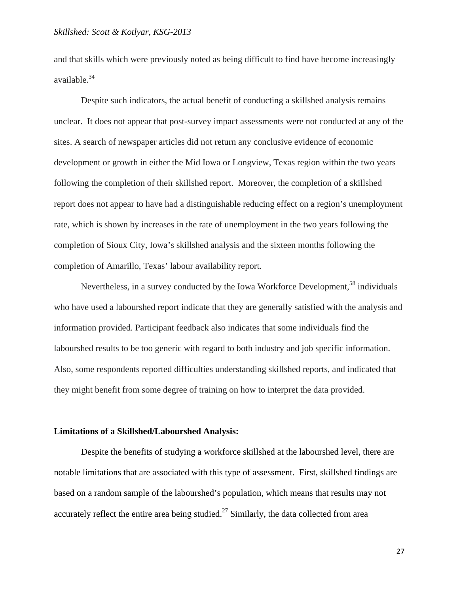and that skills which were previously noted as being difficult to find have become increasingly available.34

 Despite such indicators, the actual benefit of conducting a skillshed analysis remains unclear. It does not appear that post-survey impact assessments were not conducted at any of the sites. A search of newspaper articles did not return any conclusive evidence of economic development or growth in either the Mid Iowa or Longview, Texas region within the two years following the completion of their skillshed report. Moreover, the completion of a skillshed report does not appear to have had a distinguishable reducing effect on a region's unemployment rate, which is shown by increases in the rate of unemployment in the two years following the completion of Sioux City, Iowa's skillshed analysis and the sixteen months following the completion of Amarillo, Texas' labour availability report.

Nevertheless, in a survey conducted by the Iowa Workforce Development,<sup>58</sup> individuals who have used a labourshed report indicate that they are generally satisfied with the analysis and information provided. Participant feedback also indicates that some individuals find the labourshed results to be too generic with regard to both industry and job specific information. Also, some respondents reported difficulties understanding skillshed reports, and indicated that they might benefit from some degree of training on how to interpret the data provided.

#### **Limitations of a Skillshed/Labourshed Analysis:**

 Despite the benefits of studying a workforce skillshed at the labourshed level, there are notable limitations that are associated with this type of assessment. First, skillshed findings are based on a random sample of the labourshed's population, which means that results may not accurately reflect the entire area being studied.<sup>27</sup> Similarly, the data collected from area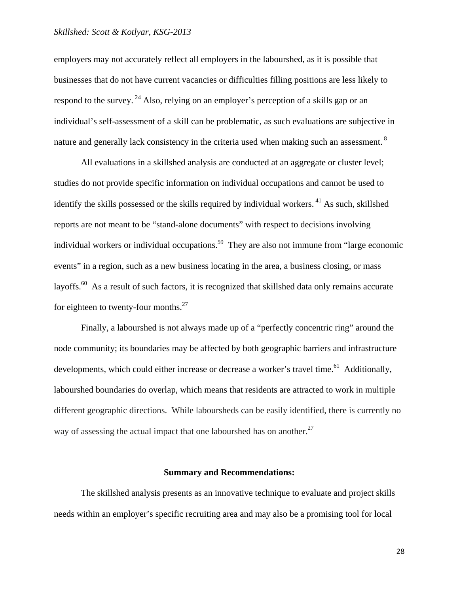employers may not accurately reflect all employers in the labourshed, as it is possible that businesses that do not have current vacancies or difficulties filling positions are less likely to respond to the survey. <sup>24</sup> Also, relying on an employer's perception of a skills gap or an individual's self-assessment of a skill can be problematic, as such evaluations are subjective in nature and generally lack consistency in the criteria used when making such an assessment.<sup>8</sup>

 All evaluations in a skillshed analysis are conducted at an aggregate or cluster level; studies do not provide specific information on individual occupations and cannot be used to identify the skills possessed or the skills required by individual workers.<sup>41</sup> As such, skillshed reports are not meant to be "stand-alone documents" with respect to decisions involving individual workers or individual occupations.<sup>59</sup> They are also not immune from "large economic events" in a region, such as a new business locating in the area, a business closing, or mass layoffs.<sup>60</sup> As a result of such factors, it is recognized that skillshed data only remains accurate for eighteen to twenty-four months. $^{27}$ 

 Finally, a labourshed is not always made up of a "perfectly concentric ring" around the node community; its boundaries may be affected by both geographic barriers and infrastructure developments, which could either increase or decrease a worker's travel time.<sup>61</sup> Additionally, labourshed boundaries do overlap, which means that residents are attracted to work in multiple different geographic directions. While laboursheds can be easily identified, there is currently no way of assessing the actual impact that one labourshed has on another.<sup>27</sup>

#### **Summary and Recommendations:**

 The skillshed analysis presents as an innovative technique to evaluate and project skills needs within an employer's specific recruiting area and may also be a promising tool for local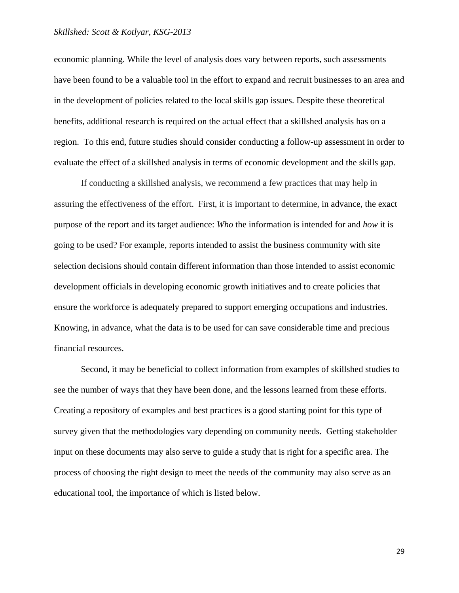economic planning. While the level of analysis does vary between reports, such assessments have been found to be a valuable tool in the effort to expand and recruit businesses to an area and in the development of policies related to the local skills gap issues. Despite these theoretical benefits, additional research is required on the actual effect that a skillshed analysis has on a region. To this end, future studies should consider conducting a follow-up assessment in order to evaluate the effect of a skillshed analysis in terms of economic development and the skills gap.

If conducting a skillshed analysis, we recommend a few practices that may help in assuring the effectiveness of the effort. First, it is important to determine, in advance, the exact purpose of the report and its target audience: *Who* the information is intended for and *how* it is going to be used? For example, reports intended to assist the business community with site selection decisions should contain different information than those intended to assist economic development officials in developing economic growth initiatives and to create policies that ensure the workforce is adequately prepared to support emerging occupations and industries. Knowing, in advance, what the data is to be used for can save considerable time and precious financial resources.

 Second, it may be beneficial to collect information from examples of skillshed studies to see the number of ways that they have been done, and the lessons learned from these efforts. Creating a repository of examples and best practices is a good starting point for this type of survey given that the methodologies vary depending on community needs. Getting stakeholder input on these documents may also serve to guide a study that is right for a specific area. The process of choosing the right design to meet the needs of the community may also serve as an educational tool, the importance of which is listed below.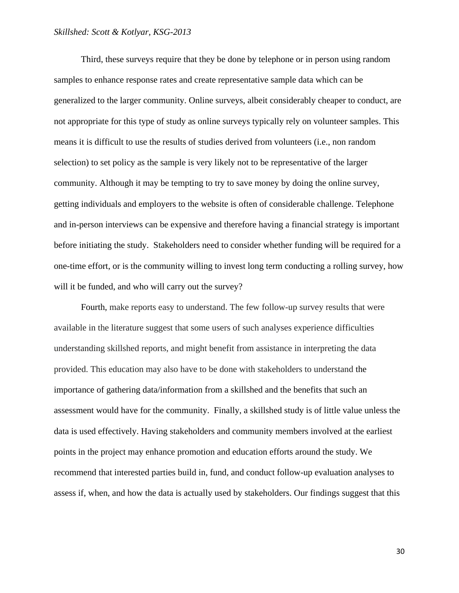Third, these surveys require that they be done by telephone or in person using random samples to enhance response rates and create representative sample data which can be generalized to the larger community. Online surveys, albeit considerably cheaper to conduct, are not appropriate for this type of study as online surveys typically rely on volunteer samples. This means it is difficult to use the results of studies derived from volunteers (i.e., non random selection) to set policy as the sample is very likely not to be representative of the larger community. Although it may be tempting to try to save money by doing the online survey, getting individuals and employers to the website is often of considerable challenge. Telephone and in-person interviews can be expensive and therefore having a financial strategy is important before initiating the study. Stakeholders need to consider whether funding will be required for a one-time effort, or is the community willing to invest long term conducting a rolling survey, how will it be funded, and who will carry out the survey?

Fourth, make reports easy to understand. The few follow-up survey results that were available in the literature suggest that some users of such analyses experience difficulties understanding skillshed reports, and might benefit from assistance in interpreting the data provided. This education may also have to be done with stakeholders to understand the importance of gathering data/information from a skillshed and the benefits that such an assessment would have for the community. Finally, a skillshed study is of little value unless the data is used effectively. Having stakeholders and community members involved at the earliest points in the project may enhance promotion and education efforts around the study. We recommend that interested parties build in, fund, and conduct follow-up evaluation analyses to assess if, when, and how the data is actually used by stakeholders. Our findings suggest that this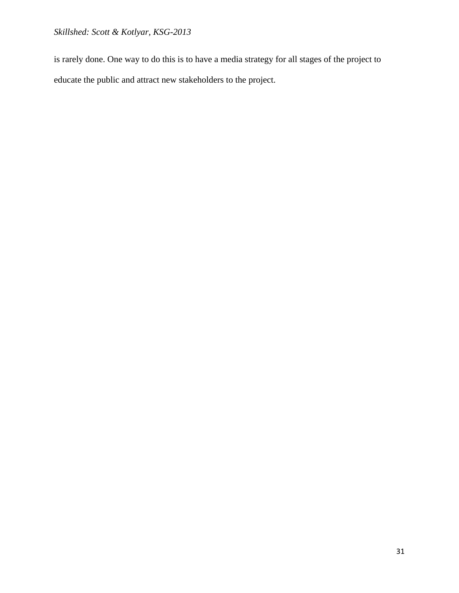is rarely done. One way to do this is to have a media strategy for all stages of the project to educate the public and attract new stakeholders to the project.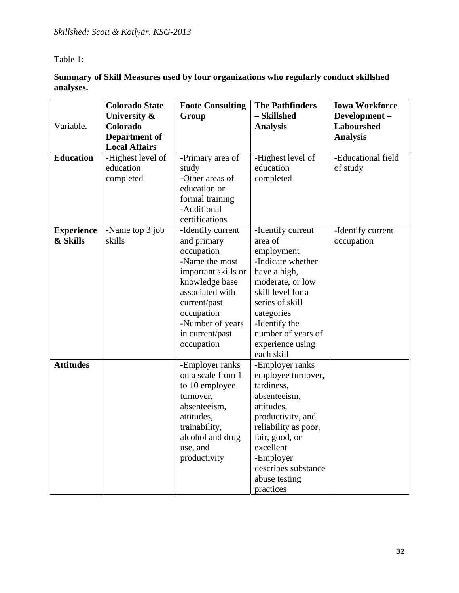Table 1:

**Summary of Skill Measures used by four organizations who regularly conduct skillshed analyses.** 

|                   | <b>Colorado State</b><br>University & | <b>Foote Consulting</b><br>Group | <b>The Pathfinders</b><br>- Skillshed | <b>Iowa Workforce</b><br>Development- |
|-------------------|---------------------------------------|----------------------------------|---------------------------------------|---------------------------------------|
| Variable.         | Colorado                              |                                  | <b>Analysis</b>                       | <b>Labourshed</b>                     |
|                   | Department of                         |                                  |                                       | <b>Analysis</b>                       |
|                   | <b>Local Affairs</b>                  |                                  |                                       |                                       |
| <b>Education</b>  | -Highest level of                     | -Primary area of                 | -Highest level of                     | -Educational field                    |
|                   | education                             | study                            | education                             | of study                              |
|                   | completed                             | -Other areas of                  | completed                             |                                       |
|                   |                                       | education or                     |                                       |                                       |
|                   |                                       | formal training<br>-Additional   |                                       |                                       |
|                   |                                       | certifications                   |                                       |                                       |
| <b>Experience</b> | -Name top 3 job                       | -Identify current                | -Identify current                     | -Identify current                     |
| & Skills          | skills                                | and primary                      | area of                               | occupation                            |
|                   |                                       | occupation                       | employment                            |                                       |
|                   |                                       | -Name the most                   | -Indicate whether                     |                                       |
|                   |                                       | important skills or              | have a high,                          |                                       |
|                   |                                       | knowledge base                   | moderate, or low                      |                                       |
|                   |                                       | associated with                  | skill level for a                     |                                       |
|                   |                                       | current/past                     | series of skill                       |                                       |
|                   |                                       | occupation                       | categories                            |                                       |
|                   |                                       | -Number of years                 | -Identify the                         |                                       |
|                   |                                       | in current/past                  | number of years of                    |                                       |
|                   |                                       | occupation                       | experience using<br>each skill        |                                       |
| <b>Attitudes</b>  |                                       | -Employer ranks                  | -Employer ranks                       |                                       |
|                   |                                       | on a scale from 1                | employee turnover,                    |                                       |
|                   |                                       | to 10 employee                   | tardiness,                            |                                       |
|                   |                                       | turnover,                        | absenteeism,                          |                                       |
|                   |                                       | absenteeism,                     | attitudes,                            |                                       |
|                   |                                       | attitudes,                       | productivity, and                     |                                       |
|                   |                                       | trainability,                    | reliability as poor,                  |                                       |
|                   |                                       | alcohol and drug                 | fair, good, or                        |                                       |
|                   |                                       | use, and                         | excellent                             |                                       |
|                   |                                       | productivity                     | -Employer                             |                                       |
|                   |                                       |                                  | describes substance                   |                                       |
|                   |                                       |                                  | abuse testing                         |                                       |
|                   |                                       |                                  | practices                             |                                       |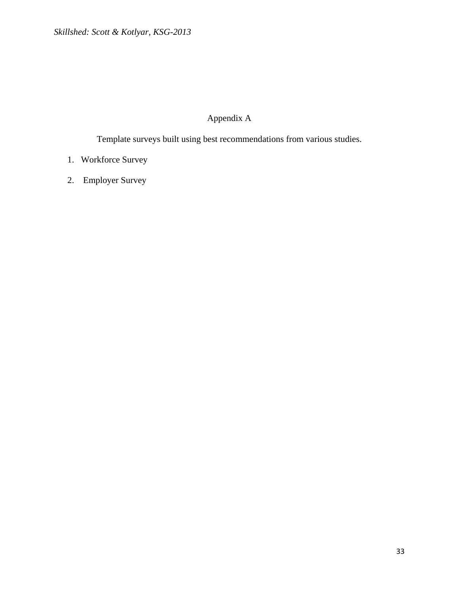# Appendix A

Template surveys built using best recommendations from various studies.

- 1. Workforce Survey
- 2. Employer Survey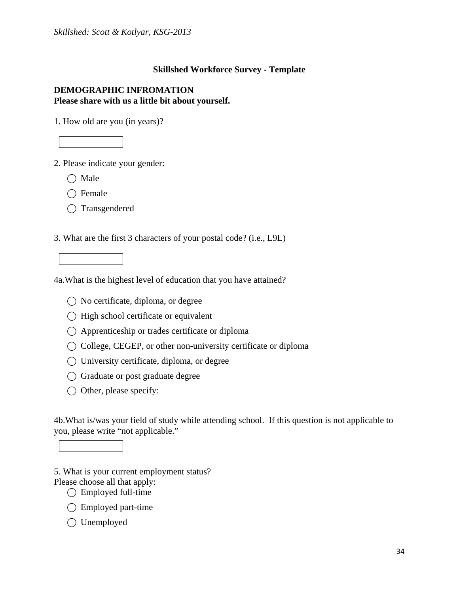### **Skillshed Workforce Survey - Template**

### **DEMOGRAPHIC INFROMATION Please share with us a little bit about yourself.**

1. How old are you (in years)?

2. Please indicate your gender:

 $\bigcirc$  Male

 $\bigcap$  Female

⃝ Transgendered

3. What are the first 3 characters of your postal code? (i.e., L9L)



4a.What is the highest level of education that you have attained?

- $\bigcirc$  No certificate, diploma, or degree
- $\bigcirc$  High school certificate or equivalent
- $\bigcirc$  Apprenticeship or trades certificate or diploma
- ⃝ College, CEGEP, or other non-university certificate or diploma
- ⃝ University certificate, diploma, or degree
- ⃝ Graduate or post graduate degree
- ◯ Other, please specify:

4b.What is/was your field of study while attending school. If this question is not applicable to you, please write "not applicable."

5. What is your current employment status? Please choose all that apply:

- $\bigcirc$  Employed full-time
- ◯ Employed part-time
- ◯ Unemployed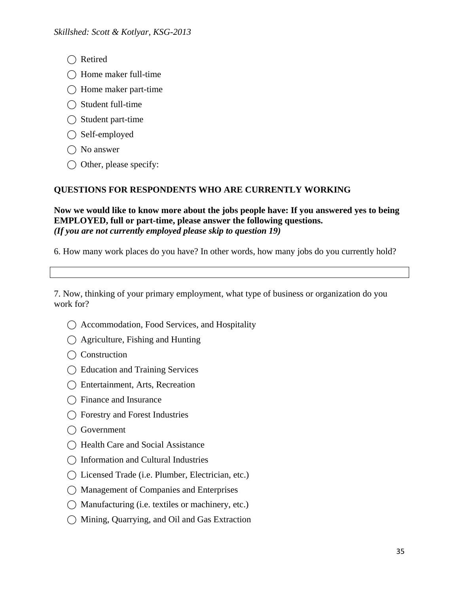- ◯ Retired
- $\bigcap$  Home maker full-time
- $\bigcap$  Home maker part-time
- $\bigcap$  Student full-time
- $\bigcirc$  Student part-time
- $\bigcap$  Self-employed
- $\bigcap$  No answer
- $\bigcirc$  Other, please specify:

# **QUESTIONS FOR RESPONDENTS WHO ARE CURRENTLY WORKING**

**Now we would like to know more about the jobs people have: If you answered yes to being EMPLOYED, full or part-time, please answer the following questions.**  *(If you are not currently employed please skip to question 19)* 

6. How many work places do you have? In other words, how many jobs do you currently hold?

7. Now, thinking of your primary employment, what type of business or organization do you work for?

- ⃝ Accommodation, Food Services, and Hospitality
- $\bigcap$  Agriculture, Fishing and Hunting
- ◯ Construction
- ⃝ Education and Training Services
- ⃝ Entertainment, Arts, Recreation
- ◯ Finance and Insurance
- ⃝ Forestry and Forest Industries
- ◯ Government
- ◯ Health Care and Social Assistance
- ⃝ Information and Cultural Industries
- ◯ Licensed Trade (i.e. Plumber, Electrician, etc.)
- ⃝ Management of Companies and Enterprises
- ◯ Manufacturing (i.e. textiles or machinery, etc.)
- ⃝ Mining, Quarrying, and Oil and Gas Extraction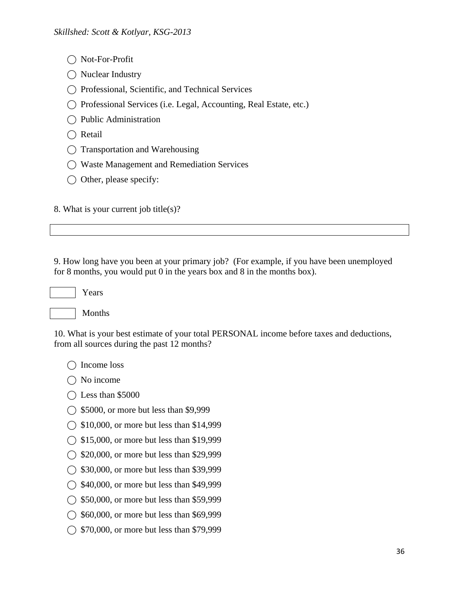- ◯ Not-For-Profit
- ◯ Nuclear Industry
- ⃝ Professional, Scientific, and Technical Services
- ⃝ Professional Services (i.e. Legal, Accounting, Real Estate, etc.)
- ⃝ Public Administration
- $\bigcap$  Retail
- ⃝ Transportation and Warehousing
- ⃝ Waste Management and Remediation Services
- $\bigcirc$  Other, please specify:

8. What is your current job title(s)?

9. How long have you been at your primary job? (For example, if you have been unemployed for 8 months, you would put 0 in the years box and 8 in the months box).

Years



10. What is your best estimate of your total PERSONAL income before taxes and deductions, from all sources during the past 12 months?

◯ Income loss

 $\bigcap$  No income

- $\bigcirc$  Less than \$5000
- $\bigcirc$  \$5000, or more but less than \$9,999
- $\bigcirc$  \$10,000, or more but less than \$14,999
- ◯ \$15,000, or more but less than \$19,999
- ◯ \$20,000, or more but less than \$29,999
- ◯ \$30,000, or more but less than \$39,999
- ◯ \$40,000, or more but less than \$49,999
- ◯ \$50,000, or more but less than \$59,999
- ◯ \$60,000, or more but less than \$69,999
- ◯ \$70,000, or more but less than \$79,999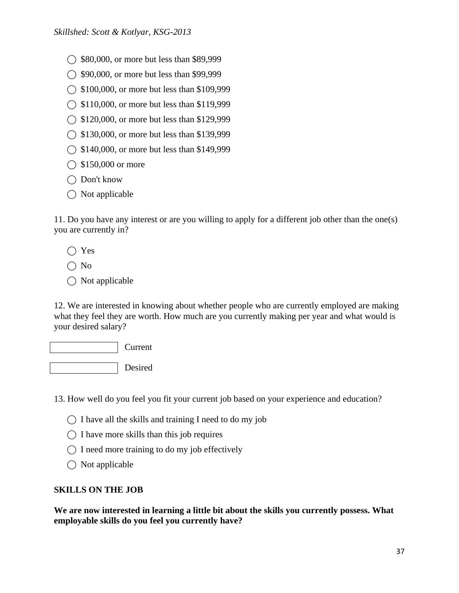- ◯ \$80,000, or more but less than \$89,999
- ◯ \$90,000, or more but less than \$99,999
- ◯ \$100,000, or more but less than \$109,999
- $\bigcirc$  \$110,000, or more but less than \$119,999
- ◯ \$120,000, or more but less than \$129,999
- ◯ \$130,000, or more but less than \$139,999
- ◯ \$140,000, or more but less than \$149,999
- $\bigcirc$  \$150,000 or more
- ◯ Don't know
- $\bigcap$  Not applicable

11. Do you have any interest or are you willing to apply for a different job other than the one(s) you are currently in?

- ⃝ Yes
- $\bigcap$  No
- $\bigcirc$  Not applicable

12. We are interested in knowing about whether people who are currently employed are making what they feel they are worth. How much are you currently making per year and what would is your desired salary?

Current

Desired

13. How well do you feel you fit your current job based on your experience and education?

- $\bigcap$  I have all the skills and training I need to do my job
- $\bigcap$  I have more skills than this job requires
- $\bigcap$  I need more training to do my job effectively
- $\bigcirc$  Not applicable

# **SKILLS ON THE JOB**

**We are now interested in learning a little bit about the skills you currently possess. What employable skills do you feel you currently have?**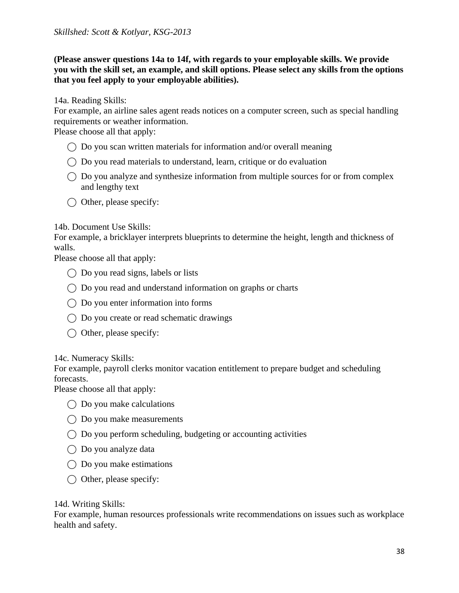**(Please answer questions 14a to 14f, with regards to your employable skills. We provide you with the skill set, an example, and skill options. Please select any skills from the options that you feel apply to your employable abilities).** 

14a. Reading Skills:

For example, an airline sales agent reads notices on a computer screen, such as special handling requirements or weather information.

Please choose all that apply:

- $\bigcirc$  Do you scan written materials for information and/or overall meaning
- $\bigcirc$  Do you read materials to understand, learn, critique or do evaluation
- $\bigcirc$  Do you analyze and synthesize information from multiple sources for or from complex and lengthy text
- $\bigcirc$  Other, please specify:

### 14b. Document Use Skills:

For example, a bricklayer interprets blueprints to determine the height, length and thickness of walls.

Please choose all that apply:

- $\bigcap$  Do you read signs, labels or lists
- ⃝ Do you read and understand information on graphs or charts
- $\bigcirc$  Do you enter information into forms
- $\bigcirc$  Do you create or read schematic drawings
- $\bigcirc$  Other, please specify:

14c. Numeracy Skills:

For example, payroll clerks monitor vacation entitlement to prepare budget and scheduling forecasts.

Please choose all that apply:

- $\bigcap$  Do you make calculations
- $\bigcirc$  Do you make measurements
- $\bigcirc$  Do you perform scheduling, budgeting or accounting activities
- ◯ Do you analyze data
- $\bigcirc$  Do you make estimations
- $\bigcirc$  Other, please specify:

### 14d. Writing Skills:

For example, human resources professionals write recommendations on issues such as workplace health and safety.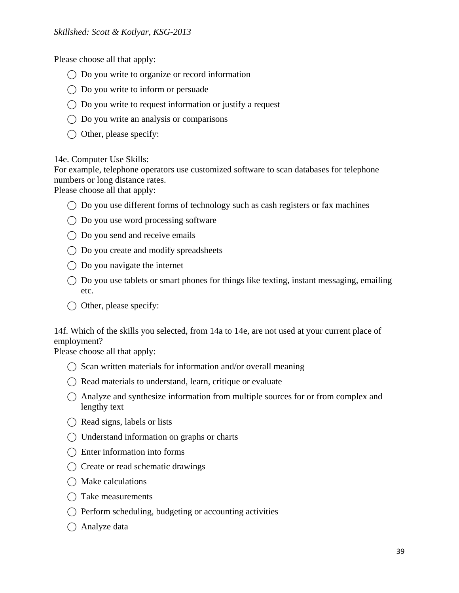Please choose all that apply:

- $\bigcirc$  Do you write to organize or record information
- $\bigcirc$  Do you write to inform or persuade
- $\bigcap$  Do you write to request information or justify a request
- $\bigcirc$  Do you write an analysis or comparisons
- $\bigcirc$  Other, please specify:

14e. Computer Use Skills:

For example, telephone operators use customized software to scan databases for telephone numbers or long distance rates.

Please choose all that apply:

- $\bigcirc$  Do you use different forms of technology such as cash registers or fax machines
- $\bigcirc$  Do you use word processing software
- $\bigcap$  Do you send and receive emails
- ◯ Do you create and modify spreadsheets
- $\bigcirc$  Do you navigate the internet
- $\bigcirc$  Do you use tablets or smart phones for things like texting, instant messaging, emailing etc.
- $\bigcap$  Other, please specify:

14f. Which of the skills you selected, from 14a to 14e, are not used at your current place of employment?

Please choose all that apply:

- $\bigcap$  Scan written materials for information and/or overall meaning
- $\bigcap$  Read materials to understand, learn, critique or evaluate
- $\bigcap$  Analyze and synthesize information from multiple sources for or from complex and lengthy text
- $\bigcap$  Read signs, labels or lists
- $\bigcap$  Understand information on graphs or charts
- $\bigcap$  Enter information into forms
- $\bigcap$  Create or read schematic drawings
- $\bigcirc$  Make calculations
- $\bigcap$  Take measurements
- $\bigcap$  Perform scheduling, budgeting or accounting activities
- ◯ Analyze data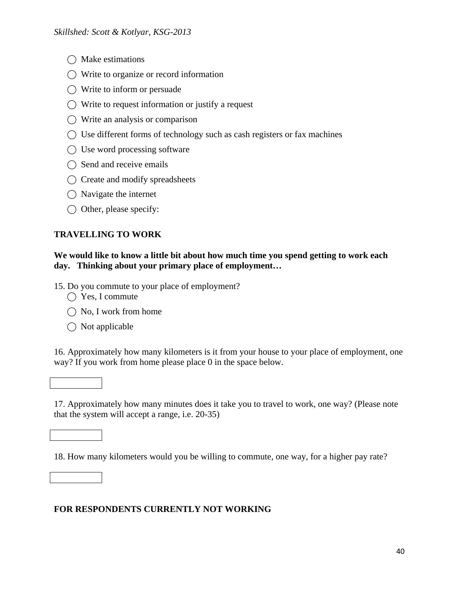- $\bigcap$  Make estimations
- $\bigcap$  Write to organize or record information
- $\bigcirc$  Write to inform or persuade
- $\bigcap$  Write to request information or justify a request
- $\bigcirc$  Write an analysis or comparison
- $\bigcap$  Use different forms of technology such as cash registers or fax machines
- $\bigcap$  Use word processing software
- $\bigcap$  Send and receive emails
- ⃝ Create and modify spreadsheets
- $\bigcap$  Navigate the internet
- $\bigcirc$  Other, please specify:

# **TRAVELLING TO WORK**

### **We would like to know a little bit about how much time you spend getting to work each day. Thinking about your primary place of employment…**

- 15. Do you commute to your place of employment?
	- $\bigcap$  Yes, I commute
	- $\bigcap$  No, I work from home
	- $\bigcirc$  Not applicable

16. Approximately how many kilometers is it from your house to your place of employment, one way? If you work from home please place 0 in the space below.

# 17. Approximately how many minutes does it take you to travel to work, one way? (Please note that the system will accept a range, i.e. 20-35)

18. How many kilometers would you be willing to commute, one way, for a higher pay rate?

# **FOR RESPONDENTS CURRENTLY NOT WORKING**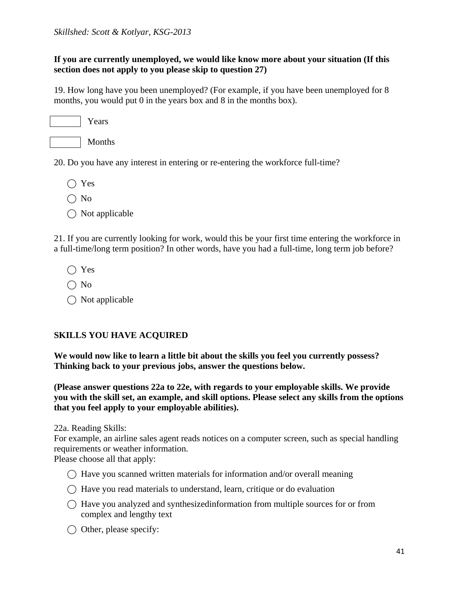### **If you are currently unemployed, we would like know more about your situation (If this section does not apply to you please skip to question 27)**

19. How long have you been unemployed? (For example, if you have been unemployed for 8 months, you would put 0 in the years box and 8 in the months box).

| Y ears |
|--------|
|        |

Months

20. Do you have any interest in entering or re-entering the workforce full-time?

- $\bigcap$  Yes
- $\bigcap$  No
- $\bigcirc$  Not applicable

21. If you are currently looking for work, would this be your first time entering the workforce in a full-time/long term position? In other words, have you had a full-time, long term job before?

- $\bigcap$  Yes
- $\bigcap$  No
- $\bigcap$  Not applicable

# **SKILLS YOU HAVE ACQUIRED**

**We would now like to learn a little bit about the skills you feel you currently possess? Thinking back to your previous jobs, answer the questions below.** 

**(Please answer questions 22a to 22e, with regards to your employable skills. We provide you with the skill set, an example, and skill options. Please select any skills from the options that you feel apply to your employable abilities).** 

22a. Reading Skills:

For example, an airline sales agent reads notices on a computer screen, such as special handling requirements or weather information.

Please choose all that apply:

- $\bigcirc$  Have you scanned written materials for information and/or overall meaning
- $\bigcirc$  Have you read materials to understand, learn, critique or do evaluation
- $\bigcap$  Have you analyzed and synthesizedinformation from multiple sources for or from complex and lengthy text
- ◯ Other, please specify: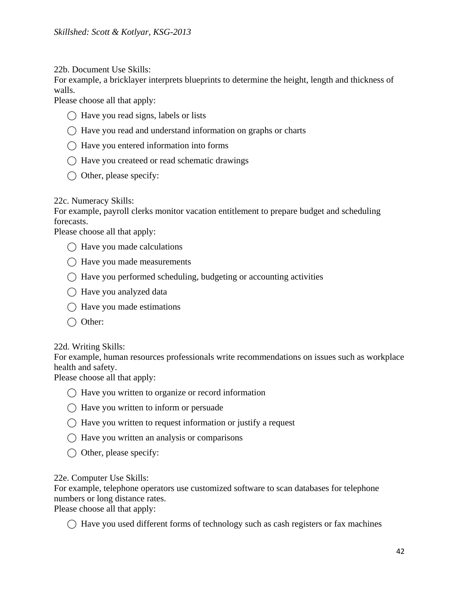22b. Document Use Skills:

For example, a bricklayer interprets blueprints to determine the height, length and thickness of walls.

Please choose all that apply:

- $\bigcap$  Have you read signs, labels or lists
- $\bigcirc$  Have you read and understand information on graphs or charts
- $\bigcap$  Have you entered information into forms
- ⃝ Have you createed or read schematic drawings
- $\bigcirc$  Other, please specify:

22c. Numeracy Skills:

For example, payroll clerks monitor vacation entitlement to prepare budget and scheduling forecasts.

Please choose all that apply:

- $\bigcap$  Have you made calculations
- $\bigcap$  Have you made measurements
- $\bigcap$  Have you performed scheduling, budgeting or accounting activities
- ⃝ Have you analyzed data
- $\bigcap$  Have you made estimations
- ◯ Other:

22d. Writing Skills:

For example, human resources professionals write recommendations on issues such as workplace health and safety.

Please choose all that apply:

- $\bigcap$  Have you written to organize or record information
- $\bigcap$  Have you written to inform or persuade
- $\bigcap$  Have you written to request information or justify a request
- $\bigcap$  Have you written an analysis or comparisons
- $\bigcirc$  Other, please specify:

### 22e. Computer Use Skills:

For example, telephone operators use customized software to scan databases for telephone numbers or long distance rates.

Please choose all that apply:

 $\bigcap$  Have you used different forms of technology such as cash registers or fax machines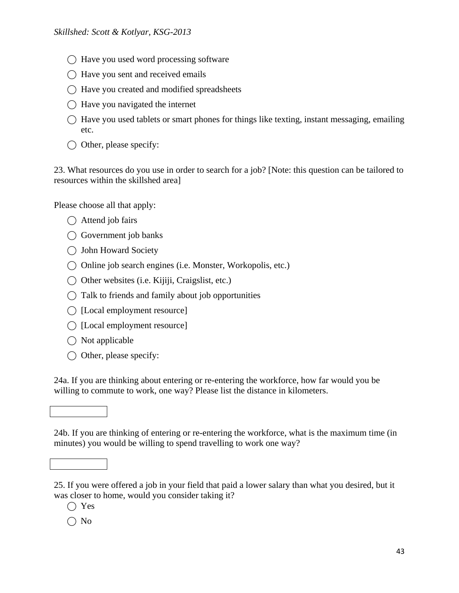- $\bigcap$  Have you used word processing software
- $\bigcap$  Have you sent and received emails
- ⃝ Have you created and modified spreadsheets
- $\bigcap$  Have you navigated the internet
- $\bigcirc$  Have you used tablets or smart phones for things like texting, instant messaging, emailing etc.
- $\bigcap$  Other, please specify:

23. What resources do you use in order to search for a job? [Note: this question can be tailored to resources within the skillshed area]

Please choose all that apply:

- $\bigcirc$  Attend job fairs
- ◯ Government job banks
- ⃝ John Howard Society
- ◯ Online job search engines (i.e. Monster, Workopolis, etc.)
- ⃝ Other websites (i.e. Kijiji, Craigslist, etc.)
- $\bigcap$  Talk to friends and family about job opportunities
- $\bigcap$  [Local employment resource]
- $\bigcap$  [Local employment resource]
- $\bigcirc$  Not applicable
- $\bigcirc$  Other, please specify:

24a. If you are thinking about entering or re-entering the workforce, how far would you be willing to commute to work, one way? Please list the distance in kilometers.

24b. If you are thinking of entering or re-entering the workforce, what is the maximum time (in minutes) you would be willing to spend travelling to work one way?

25. If you were offered a job in your field that paid a lower salary than what you desired, but it was closer to home, would you consider taking it?

 $\bigcap$  Yes

 $\bigcap$  No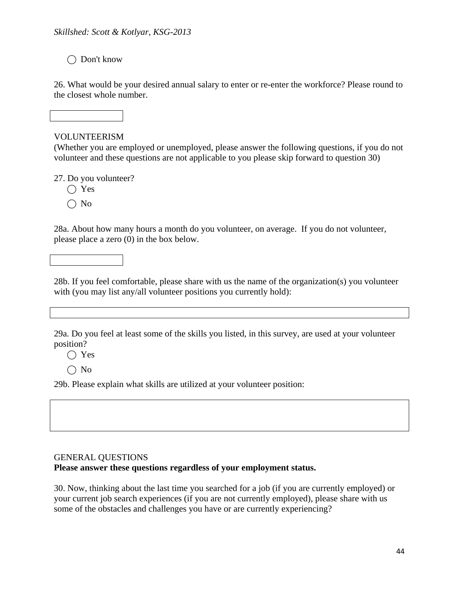⃝ Don't know

26. What would be your desired annual salary to enter or re-enter the workforce? Please round to the closest whole number.

### VOLUNTEERISM

(Whether you are employed or unemployed, please answer the following questions, if you do not volunteer and these questions are not applicable to you please skip forward to question 30)

27. Do you volunteer?

- $\bigcap$  Yes
- $\bigcap$  No

28a. About how many hours a month do you volunteer, on average. If you do not volunteer, please place a zero (0) in the box below.

28b. If you feel comfortable, please share with us the name of the organization(s) you volunteer with (you may list any/all volunteer positions you currently hold):

29a. Do you feel at least some of the skills you listed, in this survey, are used at your volunteer position?

⃝ Yes

 $\bigcap$  No

29b. Please explain what skills are utilized at your volunteer position:

# GENERAL QUESTIONS

**Please answer these questions regardless of your employment status.** 

30. Now, thinking about the last time you searched for a job (if you are currently employed) or your current job search experiences (if you are not currently employed), please share with us some of the obstacles and challenges you have or are currently experiencing?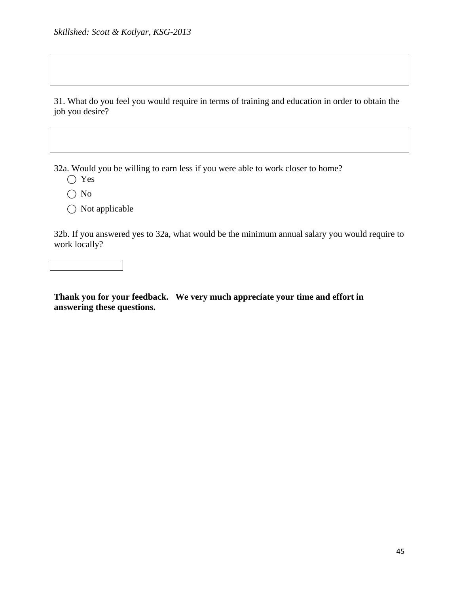31. What do you feel you would require in terms of training and education in order to obtain the job you desire?

32a. Would you be willing to earn less if you were able to work closer to home?

- ⃝ Yes
- $\bigcirc$  No
- $\bigcirc$  Not applicable

32b. If you answered yes to 32a, what would be the minimum annual salary you would require to work locally?

**Thank you for your feedback. We very much appreciate your time and effort in answering these questions.**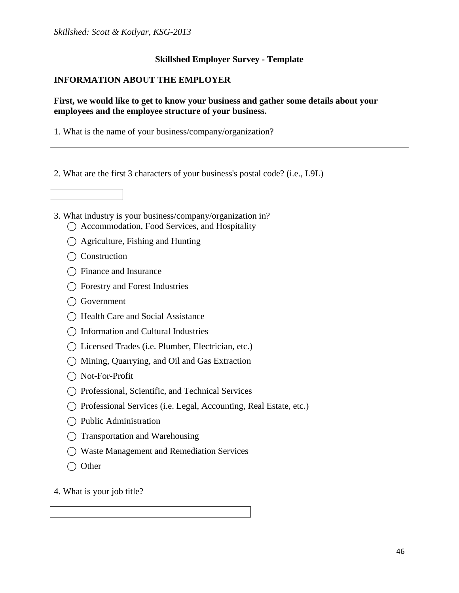### **Skillshed Employer Survey - Template**

### **INFORMATION ABOUT THE EMPLOYER**

### **First, we would like to get to know your business and gather some details about your employees and the employee structure of your business.**

- 1. What is the name of your business/company/organization?
- 2. What are the first 3 characters of your business's postal code? (i.e., L9L)



- 3. What industry is your business/company/organization in?
	- ⃝ Accommodation, Food Services, and Hospitality
	- $\bigcap$  Agriculture, Fishing and Hunting
	- ◯ Construction
	- ◯ Finance and Insurance
	- ◯ Forestry and Forest Industries
	- ⃝ Government
	- ◯ Health Care and Social Assistance
	- ⃝ Information and Cultural Industries
	- ⃝ Licensed Trades (i.e. Plumber, Electrician, etc.)
	- ⃝ Mining, Quarrying, and Oil and Gas Extraction
	- ◯ Not-For-Profit
	- ⃝ Professional, Scientific, and Technical Services
	- ⃝ Professional Services (i.e. Legal, Accounting, Real Estate, etc.)
	- ⃝ Public Administration
	- ⃝ Transportation and Warehousing
	- ⃝ Waste Management and Remediation Services
	- ◯ Other
- 4. What is your job title?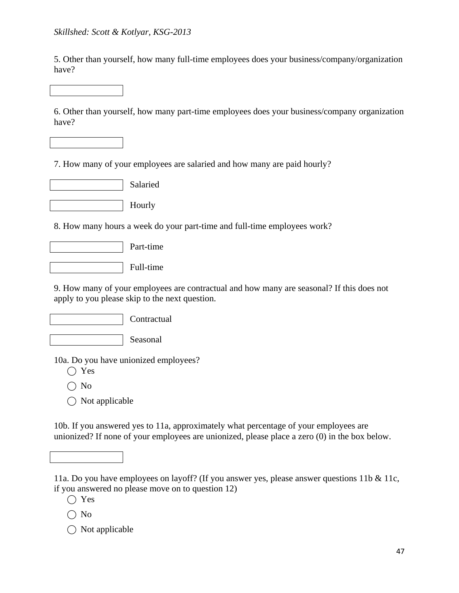5. Other than yourself, how many full-time employees does your business/company/organization have?

6. Other than yourself, how many part-time employees does your business/company organization have?

7. How many of your employees are salaried and how many are paid hourly?





8. How many hours a week do your part-time and full-time employees work?

|  | Part-time |
|--|-----------|
|--|-----------|

Full-time

9. How many of your employees are contractual and how many are seasonal? If this does not apply to you please skip to the next question.

**Contractual** 

Seasonal

10a. Do you have unionized employees?

- $\bigcirc$  Yes
- $\bigcap$  No
- $\bigcap$  Not applicable

10b. If you answered yes to 11a, approximately what percentage of your employees are unionized? If none of your employees are unionized, please place a zero (0) in the box below.



11a. Do you have employees on layoff? (If you answer yes, please answer questions 11b & 11c, if you answered no please move on to question 12)

 $\bigcirc$  Yes

- $\bigcirc$  No
- $\bigcirc$  Not applicable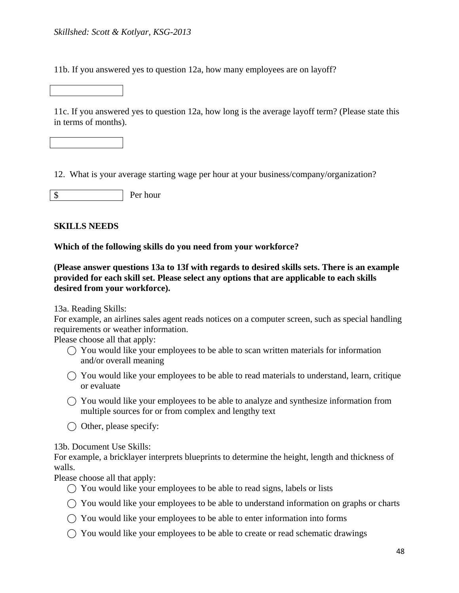11b. If you answered yes to question 12a, how many employees are on layoff?

11c. If you answered yes to question 12a, how long is the average layoff term? (Please state this in terms of months).

12. What is your average starting wage per hour at your business/company/organization?

Per hour \$

### **SKILLS NEEDS**

### **Which of the following skills do you need from your workforce?**

**(Please answer questions 13a to 13f with regards to desired skills sets. There is an example provided for each skill set. Please select any options that are applicable to each skills desired from your workforce).** 

13a. Reading Skills:

For example, an airlines sales agent reads notices on a computer screen, such as special handling requirements or weather information.

Please choose all that apply:

- $\bigcap$  You would like your employees to be able to scan written materials for information and/or overall meaning
- $\bigcap$  You would like your employees to be able to read materials to understand, learn, critique or evaluate
- $\bigcap$  You would like your employees to be able to analyze and synthesize information from multiple sources for or from complex and lengthy text
- $\bigcap$  Other, please specify:

13b. Document Use Skills:

For example, a bricklayer interprets blueprints to determine the height, length and thickness of walls.

Please choose all that apply:

- $\bigcap$  You would like your employees to be able to read signs, labels or lists
- $\bigcirc$  You would like your employees to be able to understand information on graphs or charts
- $\bigcirc$  You would like your employees to be able to enter information into forms
- $\bigcap$  You would like your employees to be able to create or read schematic drawings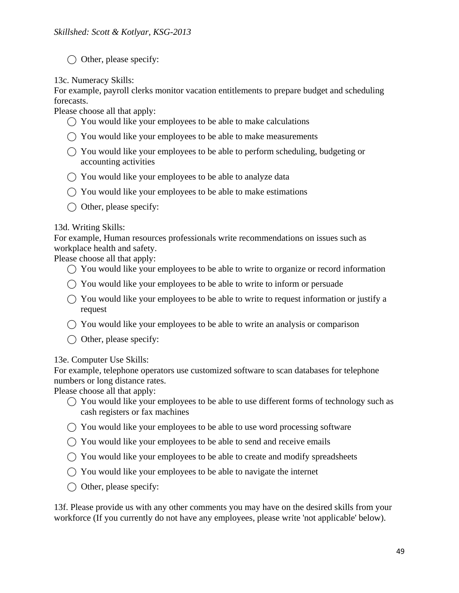$\bigcirc$  Other, please specify:

13c. Numeracy Skills:

For example, payroll clerks monitor vacation entitlements to prepare budget and scheduling forecasts.

Please choose all that apply:

- $\bigcirc$  You would like your employees to be able to make calculations
- $\bigcap$  You would like your employees to be able to make measurements
- ⃝ You would like your employees to be able to perform scheduling, budgeting or accounting activities
- $\bigcirc$  You would like your employees to be able to analyze data
- $\bigcirc$  You would like your employees to be able to make estimations
- $\bigcirc$  Other, please specify:

# 13d. Writing Skills:

For example, Human resources professionals write recommendations on issues such as workplace health and safety.

Please choose all that apply:

- $\bigcap$  You would like your employees to be able to write to organize or record information
- $\bigcirc$  You would like your employees to be able to write to inform or persuade
- $\bigcirc$  You would like your employees to be able to write to request information or justify a request
- $\bigcirc$  You would like your employees to be able to write an analysis or comparison
- $\bigcirc$  Other, please specify:

# 13e. Computer Use Skills:

For example, telephone operators use customized software to scan databases for telephone numbers or long distance rates.

Please choose all that apply:

- $\bigcirc$  You would like your employees to be able to use different forms of technology such as cash registers or fax machines
- $\bigcap$  You would like your employees to be able to use word processing software
- $\bigcap$  You would like your employees to be able to send and receive emails
- $\bigcirc$  You would like your employees to be able to create and modify spreadsheets
- $\bigcap$  You would like your employees to be able to navigate the internet
- $\bigcirc$  Other, please specify:

13f. Please provide us with any other comments you may have on the desired skills from your workforce (If you currently do not have any employees, please write 'not applicable' below).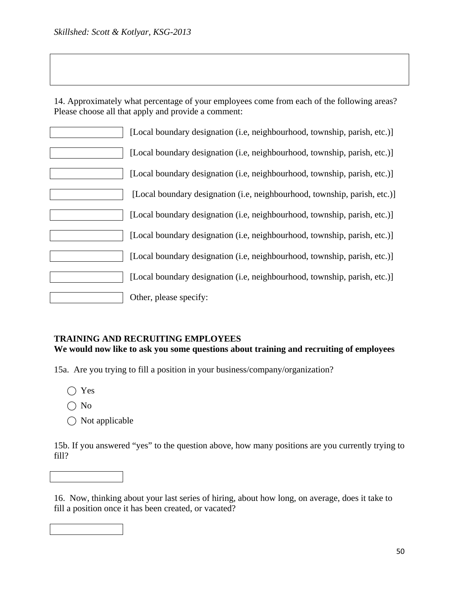14. Approximately what percentage of your employees come from each of the following areas? Please choose all that apply and provide a comment:

| [Local boundary designation (i.e, neighbourhood, township, parish, etc.)] |
|---------------------------------------------------------------------------|
| [Local boundary designation (i.e, neighbourhood, township, parish, etc.)] |
| [Local boundary designation (i.e, neighbourhood, township, parish, etc.)] |
| [Local boundary designation (i.e, neighbourhood, township, parish, etc.)] |
| [Local boundary designation (i.e, neighbourhood, township, parish, etc.)] |
| [Local boundary designation (i.e, neighbourhood, township, parish, etc.)] |
| [Local boundary designation (i.e, neighbourhood, township, parish, etc.)] |
| [Local boundary designation (i.e, neighbourhood, township, parish, etc.)] |
| Other, please specify:                                                    |

### **TRAINING AND RECRUITING EMPLOYEES**

**We would now like to ask you some questions about training and recruiting of employees** 

15a. Are you trying to fill a position in your business/company/organization?

- ⃝ Yes
- $\bigcap$  No
- $\bigcirc$  Not applicable

15b. If you answered "yes" to the question above, how many positions are you currently trying to fill?



16. Now, thinking about your last series of hiring, about how long, on average, does it take to fill a position once it has been created, or vacated?

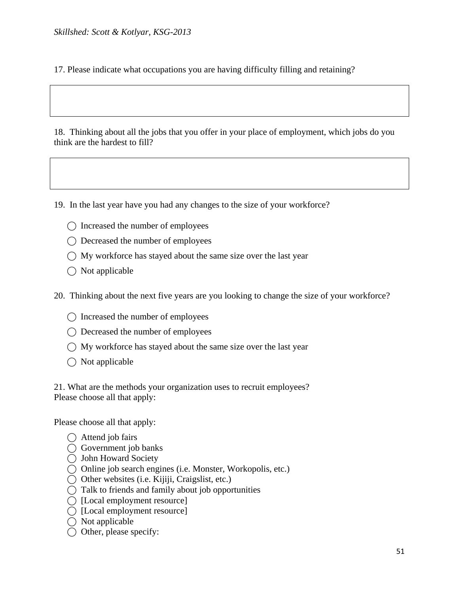17. Please indicate what occupations you are having difficulty filling and retaining?

18. Thinking about all the jobs that you offer in your place of employment, which jobs do you think are the hardest to fill?

19. In the last year have you had any changes to the size of your workforce?

- ◯ Increased the number of employees
- ⃝ Decreased the number of employees
- $\bigcap$  My workforce has stayed about the same size over the last year
- $\bigcap$  Not applicable

20. Thinking about the next five years are you looking to change the size of your workforce?

- $\bigcap$  Increased the number of employees
- ⃝ Decreased the number of employees
- $\bigcap$  My workforce has stayed about the same size over the last year
- $\bigcap$  Not applicable

21. What are the methods your organization uses to recruit employees? Please choose all that apply:

Please choose all that apply:

- $\bigcap$  Attend job fairs
- $\bigcirc$  Government job banks
- ⃝ John Howard Society
- ⃝ Online job search engines (i.e. Monster, Workopolis, etc.)
- ⃝ Other websites (i.e. Kijiji, Craigslist, etc.)
- ⃝ Talk to friends and family about job opportunities
- ◯ [Local employment resource]
- $\bigcap$  [Local employment resource]
- $\bigcap$  Not applicable
- $\bigcap$  Other, please specify: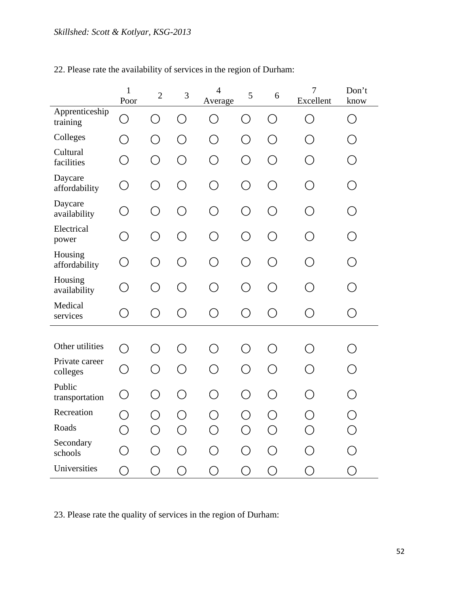|                            | $\mathbf{1}$<br>Poor | $\overline{2}$ | $\mathfrak{Z}$ | $\overline{4}$<br>Average | 5          | $\boldsymbol{6}$ | $\overline{7}$<br>Excellent | Don't<br>know |
|----------------------------|----------------------|----------------|----------------|---------------------------|------------|------------------|-----------------------------|---------------|
| Apprenticeship<br>training | ◯                    | ◯              | ◯              | ◯                         | $\bigcirc$ | $\bigcirc$       | $\bigcirc$                  | ◯             |
| Colleges                   | ◯                    | $\bigcirc$     | O              | O                         | $\bigcirc$ | $\bigcirc$       | ◯                           | ◯             |
| Cultural<br>facilities     | O                    | O              | O              | O                         | $\bigcirc$ | $\bigcirc$       | O                           | ○             |
| Daycare<br>affordability   | O                    | O              | $\bigcirc$     | ○                         | ◯          | ◯                | ◯                           | $\bigcirc$    |
| Daycare<br>availability    | ◯                    | $\bigcirc$     | $\bigcirc$     | ◯                         | ◯          | ◯                | ◯                           | ◯             |
| Electrical<br>power        | ◯                    | $\bigcirc$     | ◯              | ○                         | ◯          | ◯                | ◯                           | ∩             |
| Housing<br>affordability   | $\bigcirc$           | $\bigcirc$     | ◯              | ∩                         | $\bigcirc$ | ◯                | ∩                           | $(\ )$        |
| Housing<br>availability    | ◯                    | ◯              | ◯              | ◯                         | ◯          | ◯                | ◯                           | ( )           |
| Medical<br>services        | $\bigcirc$           | O              | O              | ◯                         | ◯          | O                | O                           | O             |
|                            |                      |                |                |                           |            |                  |                             |               |
| Other utilities            | ∩                    | ◯              | ◯              | ◯                         | ∩          | ◯                | ∩                           |               |
| Private career<br>colleges | ◯                    | ◯              | ◯              | ◯                         | ◯          | ◯                | ◯                           | ( )           |
| Public<br>transportation   | O                    | O              | $\bigcirc$     | ◯                         | ◯          | ∩                | ◯                           | $\bigcirc$    |
| Recreation                 | О                    | O              | O              | O                         | O          | $\bigcirc$       | О                           | O             |
| Roads                      | O                    | $\bigcirc$     | $\bigcirc$     | O                         | O          | $\bigcirc$       | O                           | O             |
| Secondary<br>schools       | $\bigcirc$           | $\bigcirc$     | О              | O                         | O          | $\bigcirc$       | O                           | $\bigcirc$    |
| Universities               | ◯                    | O              | $\bigcirc$     | ◯                         | ◯          | ◯                | ◯                           | ◯             |

22. Please rate the availability of services in the region of Durham:

23. Please rate the quality of services in the region of Durham: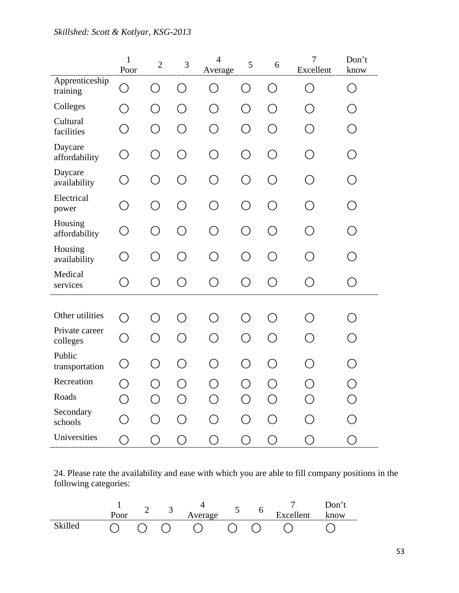|                            | $\mathbf{1}$<br>Poor | $\overline{2}$ | 3          | $\overline{4}$<br>Average | 5          | 6                                           | $\tau$<br>Excellent | Don't<br>know     |
|----------------------------|----------------------|----------------|------------|---------------------------|------------|---------------------------------------------|---------------------|-------------------|
| Apprenticeship<br>training | ◯                    | ◯              | ◯          | ◯                         | $\bigcirc$ | ◯                                           | $\bigcirc$          | ◯                 |
| Colleges                   | ◯                    | O              | O          | O                         | O          | ◯                                           | ◯                   | ◯                 |
| Cultural<br>facilities     | O                    | $\bigcirc$     | O          | ◯                         | O          | $\bigcirc$                                  | ○                   | ◯                 |
| Daycare<br>affordability   | O                    | O              | O          | O                         | ◯          | ◯                                           | ○                   | ◯                 |
| Daycare<br>availability    | ◯                    | ◯              | ◯          | ◯                         | ◯          | ◯                                           | ◯                   | ( )               |
| Electrical<br>power        | ○                    | $\bigcirc$     | O          | ○                         | ◯          | ∩                                           | ○                   | ◯                 |
| Housing<br>affordability   | $\bigcirc$           | O              | O          | ∩                         | ◯          | ◯                                           | ∩                   | $( \ )$           |
| Housing<br>availability    | ◯                    | ◯              | ◯          | $\bigcirc$                | $\bigcirc$ | ∩                                           | ◯                   | ( )               |
| Medical<br>services        | ◯                    | O              | O          | ◯                         | ◯          | ◯                                           | О                   | ○                 |
|                            |                      |                |            |                           |            |                                             |                     |                   |
| Other utilities            | ◯                    | ◯              | ◯          | $\bigcirc$                | ( )        | $\left(\begin{array}{c} \end{array}\right)$ | ◯                   | ( )               |
| Private career<br>colleges | ◯                    | $\bigcirc$     | $\bigcirc$ | ◯                         | $\bigcirc$ | ◯                                           | ○                   | $\left(\ \right)$ |
| Public<br>transportation   | O                    | $\bigcirc$     | $\bigcirc$ | ◯                         | ◯          | ◯                                           | ◯                   | ◯                 |
| Recreation                 | О                    | O              | O          | O                         | О          | O                                           | О                   | О                 |
| Roads                      | О                    | O              | $\bigcirc$ | O                         | O          | ◯                                           | O                   | О                 |
| Secondary<br>schools       | ○                    | O              | O          | ◯                         | O          | ◯                                           | ◯                   | O                 |
| Universities               | ◯                    | ◯              | ◯          | $\bigcirc$                | ◯          | ◯                                           | O                   | O                 |

24. Please rate the availability and ease with which you are able to fill company positions in the following categories:

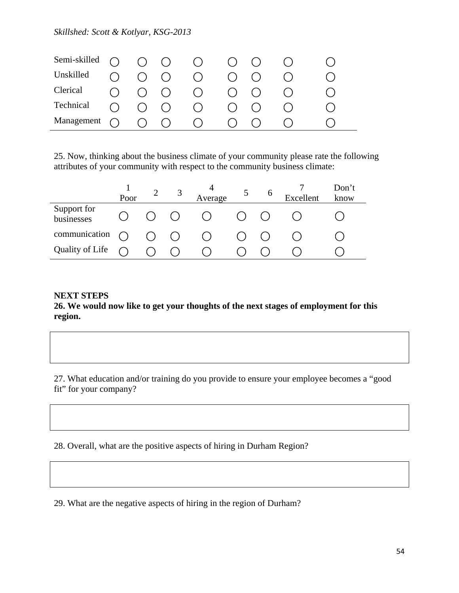| Semi-skilled |           | $\cap$ $\cap$ $\cap$ |                     | $(\ )$                                          |  |  |
|--------------|-----------|----------------------|---------------------|-------------------------------------------------|--|--|
| Unskilled    | ( )       |                      | $O$ $O$             |                                                 |  |  |
| Clerical     | $\bigcap$ |                      | $()$ $()$           | $\left( \begin{array}{c} 1 \end{array} \right)$ |  |  |
| Technical    | $\bigcap$ |                      | $\bigcap$ $\bigcap$ | ( )                                             |  |  |
| Management   |           |                      | ( ) ( )             | ( )                                             |  |  |

25. Now, thinking about the business climate of your community please rate the following attributes of your community with respect to the community business climate:

|                           | Poor |           |         | Average |                        | 6 | Excellent | Don't<br>know |
|---------------------------|------|-----------|---------|---------|------------------------|---|-----------|---------------|
| Support for<br>businesses |      |           | ( ) ( ) |         | $\left( \quad \right)$ |   |           |               |
| communication             |      | $()$ $()$ |         |         |                        |   |           |               |
| Quality of Life           |      |           |         |         |                        |   |           |               |

### **NEXT STEPS**

**26. We would now like to get your thoughts of the next stages of employment for this region.** 

27. What education and/or training do you provide to ensure your employee becomes a "good fit" for your company?

28. Overall, what are the positive aspects of hiring in Durham Region?

29. What are the negative aspects of hiring in the region of Durham?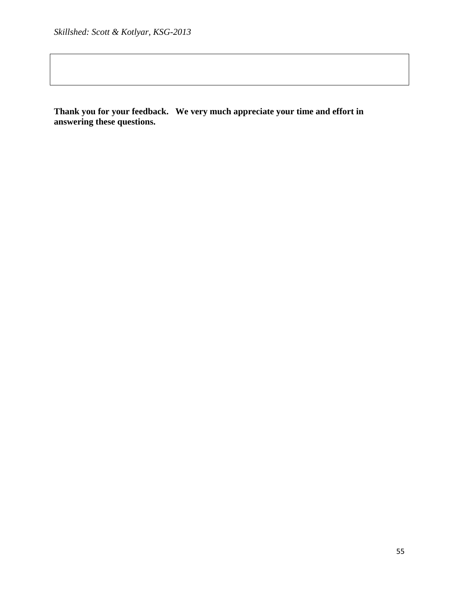**Thank you for your feedback. We very much appreciate your time and effort in answering these questions.**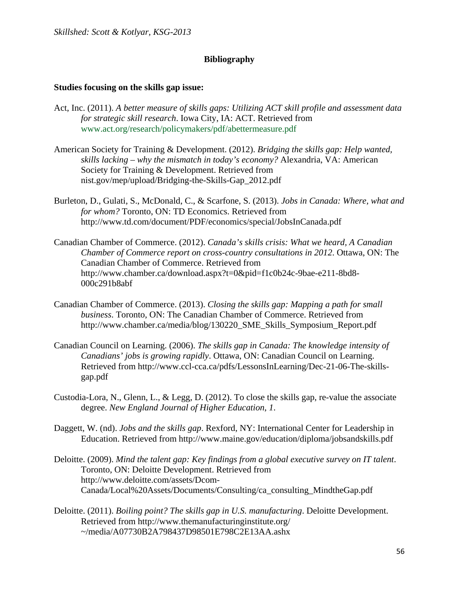# **Bibliography**

### **Studies focusing on the skills gap issue:**

- Act, Inc. (2011). *A better measure of skills gaps: Utilizing ACT skill profile and assessment data for strategic skill research*. Iowa City, IA: ACT. Retrieved from www.act.org/research/policymakers/pdf/abettermeasure.pdf
- American Society for Training & Development. (2012). *Bridging the skills gap: Help wanted, skills lacking – why the mismatch in today's economy?* Alexandria, VA: American Society for Training & Development. Retrieved from nist.gov/mep/upload/Bridging-the-Skills-Gap\_2012.pdf
- Burleton, D., Gulati, S., McDonald, C., & Scarfone, S. (2013). *Jobs in Canada: Where, what and for whom?* Toronto, ON: TD Economics. Retrieved from http://www.td.com/document/PDF/economics/special/JobsInCanada.pdf
- Canadian Chamber of Commerce. (2012). *Canada's skills crisis: What we heard, A Canadian Chamber of Commerce report on cross-country consultations in 2012*. Ottawa, ON: The Canadian Chamber of Commerce. Retrieved from http://www.chamber.ca/download.aspx?t=0&pid=f1c0b24c-9bae-e211-8bd8- 000c291b8abf
- Canadian Chamber of Commerce. (2013). *Closing the skills gap: Mapping a path for small business*. Toronto, ON: The Canadian Chamber of Commerce. Retrieved from http://www.chamber.ca/media/blog/130220\_SME\_Skills\_Symposium\_Report.pdf
- Canadian Council on Learning. (2006). *The skills gap in Canada: The knowledge intensity of Canadians' jobs is growing rapidly*. Ottawa, ON: Canadian Council on Learning. Retrieved from http://www.ccl-cca.ca/pdfs/LessonsInLearning/Dec-21-06-The-skillsgap.pdf
- Custodia-Lora, N., Glenn, L., & Legg, D. (2012). To close the skills gap, re-value the associate degree. *New England Journal of Higher Education*, *1*.
- Daggett, W. (nd). *Jobs and the skills gap*. Rexford, NY: International Center for Leadership in Education. Retrieved from http://www.maine.gov/education/diploma/jobsandskills.pdf
- Deloitte. (2009). *Mind the talent gap: Key findings from a global executive survey on IT talent*. Toronto, ON: Deloitte Development. Retrieved from http://www.deloitte.com/assets/Dcom-Canada/Local%20Assets/Documents/Consulting/ca\_consulting\_MindtheGap.pdf
- Deloitte. (2011). *Boiling point? The skills gap in U.S. manufacturing*. Deloitte Development. Retrieved from http://www.themanufacturinginstitute.org/ ~/media/A07730B2A798437D98501E798C2E13AA.ashx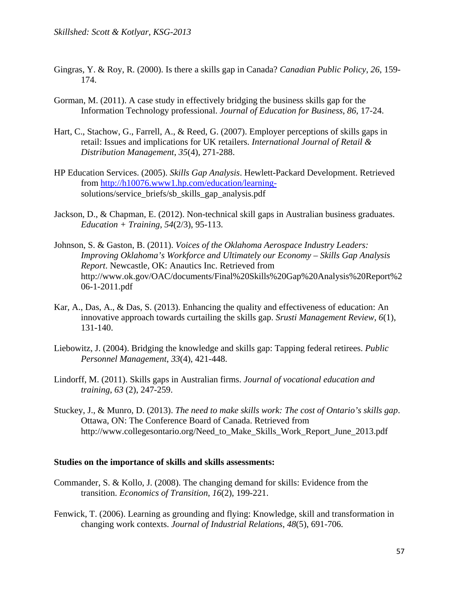- Gingras, Y. & Roy, R. (2000). Is there a skills gap in Canada? *Canadian Public Policy*, *26*, 159- 174.
- Gorman, M. (2011). A case study in effectively bridging the business skills gap for the Information Technology professional. *Journal of Education for Business*, *86*, 17-24.
- Hart, C., Stachow, G., Farrell, A., & Reed, G. (2007). Employer perceptions of skills gaps in retail: Issues and implications for UK retailers. *International Journal of Retail & Distribution Management*, *35*(4), 271-288.
- HP Education Services. (2005). *Skills Gap Analysis*. Hewlett-Packard Development. Retrieved from http://h10076.www1.hp.com/education/learningsolutions/service\_briefs/sb\_skills\_gap\_analysis.pdf
- Jackson, D., & Chapman, E. (2012). Non-technical skill gaps in Australian business graduates. *Education + Training*, *54*(2/3), 95-113.
- Johnson, S. & Gaston, B. (2011). *Voices of the Oklahoma Aerospace Industry Leaders: Improving Oklahoma's Workforce and Ultimately our Economy – Skills Gap Analysis Report*. Newcastle, OK: Anautics Inc. Retrieved from http://www.ok.gov/OAC/documents/Final%20Skills%20Gap%20Analysis%20Report%2 06-1-2011.pdf
- Kar, A., Das, A., & Das, S. (2013). Enhancing the quality and effectiveness of education: An innovative approach towards curtailing the skills gap. *Srusti Management Review*, *6*(1), 131-140.
- Liebowitz, J. (2004). Bridging the knowledge and skills gap: Tapping federal retirees. *Public Personnel Management*, *33*(4), 421-448.
- Lindorff, M. (2011). Skills gaps in Australian firms. *Journal of vocational education and training*, *63* (2), 247-259.
- Stuckey, J., & Munro, D. (2013). *The need to make skills work: The cost of Ontario's skills gap*. Ottawa, ON: The Conference Board of Canada. Retrieved from http://www.collegesontario.org/Need\_to\_Make\_Skills\_Work\_Report\_June\_2013.pdf

#### **Studies on the importance of skills and skills assessments:**

- Commander, S. & Kollo, J. (2008). The changing demand for skills: Evidence from the transition. *Economics of Transition*, *16*(2), 199-221.
- Fenwick, T. (2006). Learning as grounding and flying: Knowledge, skill and transformation in changing work contexts. *Journal of Industrial Relations*, *48*(5), 691-706.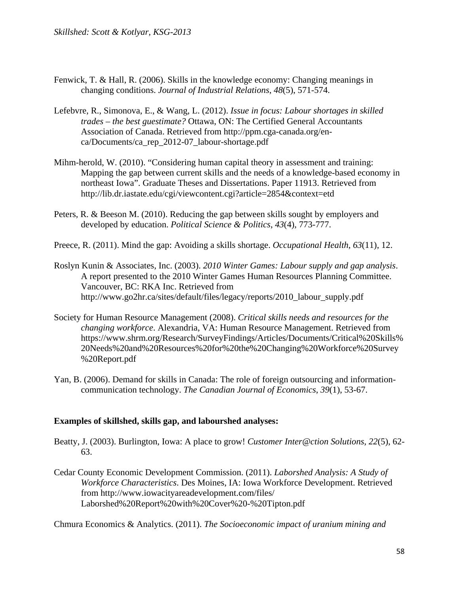- Fenwick, T. & Hall, R. (2006). Skills in the knowledge economy: Changing meanings in changing conditions. *Journal of Industrial Relations*, *48*(5), 571-574.
- Lefebvre, R., Simonova, E., & Wang, L. (2012). *Issue in focus: Labour shortages in skilled trades – the best guestimate?* Ottawa, ON: The Certified General Accountants Association of Canada. Retrieved from http://ppm.cga-canada.org/enca/Documents/ca\_rep\_2012-07\_labour-shortage.pdf
- Mihm-herold, W. (2010). "Considering human capital theory in assessment and training: Mapping the gap between current skills and the needs of a knowledge-based economy in northeast Iowa". Graduate Theses and Dissertations. Paper 11913. Retrieved from http://lib.dr.iastate.edu/cgi/viewcontent.cgi?article=2854&context=etd
- Peters, R. & Beeson M. (2010). Reducing the gap between skills sought by employers and developed by education. *Political Science & Politics*, *43*(4), 773-777.
- Preece, R. (2011). Mind the gap: Avoiding a skills shortage. *Occupational Health*, *63*(11), 12.
- Roslyn Kunin & Associates, Inc. (2003). *2010 Winter Games: Labour supply and gap analysis*. A report presented to the 2010 Winter Games Human Resources Planning Committee. Vancouver, BC: RKA Inc. Retrieved from http://www.go2hr.ca/sites/default/files/legacy/reports/2010\_labour\_supply.pdf
- Society for Human Resource Management (2008). *Critical skills needs and resources for the changing workforce*. Alexandria, VA: Human Resource Management. Retrieved from https://www.shrm.org/Research/SurveyFindings/Articles/Documents/Critical%20Skills% 20Needs%20and%20Resources%20for%20the%20Changing%20Workforce%20Survey %20Report.pdf
- Yan, B. (2006). Demand for skills in Canada: The role of foreign outsourcing and informationcommunication technology. *The Canadian Journal of Economics*, *39*(1), 53-67.

### **Examples of skillshed, skills gap, and labourshed analyses:**

- Beatty, J. (2003). Burlington, Iowa: A place to grow! *Customer Inter@ction Solutions*, *22*(5), 62- 63.
- Cedar County Economic Development Commission. (2011). *Laborshed Analysis: A Study of Workforce Characteristics*. Des Moines, IA: Iowa Workforce Development. Retrieved from http://www.iowacityareadevelopment.com/files/ Laborshed%20Report%20with%20Cover%20-%20Tipton.pdf

Chmura Economics & Analytics. (2011). *The Socioeconomic impact of uranium mining and*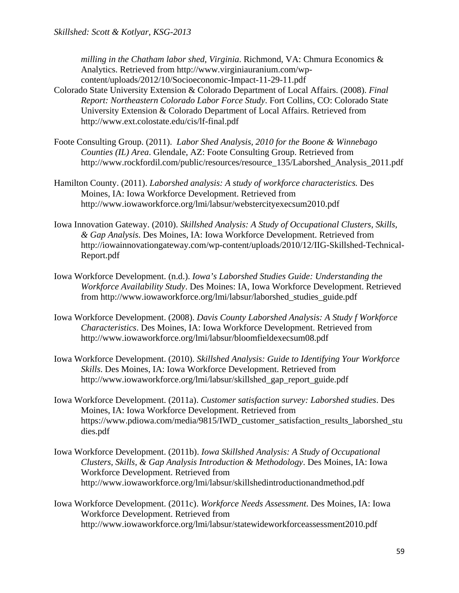*milling in the Chatham labor shed, Virginia*. Richmond, VA: Chmura Economics & Analytics. Retrieved from http://www.virginiauranium.com/wpcontent/uploads/2012/10/Socioeconomic-Impact-11-29-11.pdf

- Colorado State University Extension & Colorado Department of Local Affairs. (2008). *Final Report: Northeastern Colorado Labor Force Study*. Fort Collins, CO: Colorado State University Extension & Colorado Department of Local Affairs. Retrieved from http://www.ext.colostate.edu/cis/lf-final.pdf
- Foote Consulting Group. (2011). *Labor Shed Analysis, 2010 for the Boone & Winnebago Counties (IL) Area*. Glendale, AZ: Foote Consulting Group. Retrieved from http://www.rockfordil.com/public/resources/resource\_135/Laborshed\_Analysis\_2011.pdf
- Hamilton County. (2011). *Laborshed analysis: A study of workforce characteristics.* Des Moines, IA: Iowa Workforce Development. Retrieved from http://www.iowaworkforce.org/lmi/labsur/webstercityexecsum2010.pdf
- Iowa Innovation Gateway. (2010). *Skillshed Analysis: A Study of Occupational Clusters, Skills, & Gap Analysis*. Des Moines, IA: Iowa Workforce Development. Retrieved from http://iowainnovationgateway.com/wp-content/uploads/2010/12/IIG-Skillshed-Technical-Report.pdf
- Iowa Workforce Development. (n.d.). *Iowa's Laborshed Studies Guide: Understanding the Workforce Availability Study*. Des Moines: IA, Iowa Workforce Development. Retrieved from http://www.iowaworkforce.org/lmi/labsur/laborshed\_studies\_guide.pdf
- Iowa Workforce Development. (2008). *Davis County Laborshed Analysis: A Study f Workforce Characteristics*. Des Moines, IA: Iowa Workforce Development. Retrieved from http://www.iowaworkforce.org/lmi/labsur/bloomfieldexecsum08.pdf
- Iowa Workforce Development. (2010). *Skillshed Analysis: Guide to Identifying Your Workforce Skills*. Des Moines, IA: Iowa Workforce Development. Retrieved from http://www.iowaworkforce.org/lmi/labsur/skillshed\_gap\_report\_guide.pdf
- Iowa Workforce Development. (2011a). *Customer satisfaction survey: Laborshed studies*. Des Moines, IA: Iowa Workforce Development. Retrieved from https://www.pdiowa.com/media/9815/IWD\_customer\_satisfaction\_results\_laborshed\_stu dies.pdf
- Iowa Workforce Development. (2011b). *Iowa Skillshed Analysis: A Study of Occupational Clusters, Skills, & Gap Analysis Introduction & Methodology*. Des Moines, IA: Iowa Workforce Development. Retrieved from http://www.iowaworkforce.org/lmi/labsur/skillshedintroductionandmethod.pdf
- Iowa Workforce Development. (2011c). *Workforce Needs Assessment*. Des Moines, IA: Iowa Workforce Development. Retrieved from http://www.iowaworkforce.org/lmi/labsur/statewideworkforceassessment2010.pdf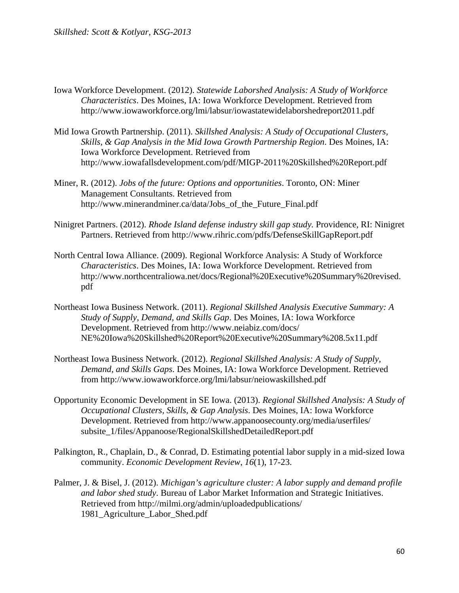- Iowa Workforce Development. (2012). *Statewide Laborshed Analysis: A Study of Workforce Characteristics*. Des Moines, IA: Iowa Workforce Development. Retrieved from http://www.iowaworkforce.org/lmi/labsur/iowastatewidelaborshedreport2011.pdf
- Mid Iowa Growth Partnership. (2011). *Skillshed Analysis: A Study of Occupational Clusters, Skills, & Gap Analysis in the Mid Iowa Growth Partnership Region*. Des Moines, IA: Iowa Workforce Development. Retrieved from http://www.iowafallsdevelopment.com/pdf/MIGP-2011%20Skillshed%20Report.pdf
- Miner, R. (2012). *Jobs of the future: Options and opportunities*. Toronto, ON: Miner Management Consultants. Retrieved from http://www.minerandminer.ca/data/Jobs\_of\_the\_Future\_Final.pdf
- Ninigret Partners. (2012). *Rhode Island defense industry skill gap study.* Providence, RI: Ninigret Partners. Retrieved from http://www.rihric.com/pdfs/DefenseSkillGapReport.pdf
- North Central Iowa Alliance. (2009). Regional Workforce Analysis: A Study of Workforce *Characteristics*. Des Moines, IA: Iowa Workforce Development. Retrieved from http://www.northcentraliowa.net/docs/Regional%20Executive%20Summary%20revised. pdf
- Northeast Iowa Business Network. (2011). *Regional Skillshed Analysis Executive Summary: A Study of Supply, Demand, and Skills Gap*. Des Moines, IA: Iowa Workforce Development. Retrieved from http://www.neiabiz.com/docs/ NE%20Iowa%20Skillshed%20Report%20Executive%20Summary%208.5x11.pdf
- Northeast Iowa Business Network. (2012). *Regional Skillshed Analysis: A Study of Supply, Demand, and Skills Gaps*. Des Moines, IA: Iowa Workforce Development. Retrieved from http://www.iowaworkforce.org/lmi/labsur/neiowaskillshed.pdf
- Opportunity Economic Development in SE Iowa. (2013). *Regional Skillshed Analysis: A Study of Occupational Clusters, Skills, & Gap Analysis*. Des Moines, IA: Iowa Workforce Development. Retrieved from http://www.appanoosecounty.org/media/userfiles/ subsite\_1/files/Appanoose/RegionalSkillshedDetailedReport.pdf
- Palkington, R., Chaplain, D., & Conrad, D. Estimating potential labor supply in a mid-sized Iowa community. *Economic Development Review*, *16*(1), 17-23.
- Palmer, J. & Bisel, J. (2012). *Michigan's agriculture cluster: A labor supply and demand profile and labor shed study*. Bureau of Labor Market Information and Strategic Initiatives. Retrieved from http://milmi.org/admin/uploadedpublications/ 1981\_Agriculture\_Labor\_Shed.pdf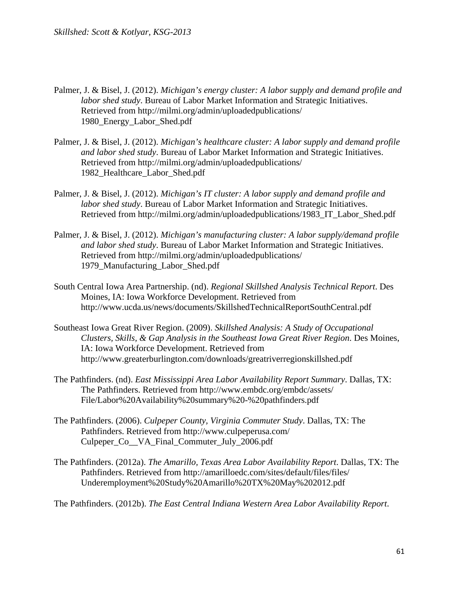- Palmer, J. & Bisel, J. (2012). *Michigan's energy cluster: A labor supply and demand profile and labor shed study*. Bureau of Labor Market Information and Strategic Initiatives. Retrieved from http://milmi.org/admin/uploadedpublications/ 1980\_Energy\_Labor\_Shed.pdf
- Palmer, J. & Bisel, J. (2012). *Michigan's healthcare cluster: A labor supply and demand profile and labor shed study*. Bureau of Labor Market Information and Strategic Initiatives. Retrieved from http://milmi.org/admin/uploadedpublications/ 1982\_Healthcare\_Labor\_Shed.pdf
- Palmer, J. & Bisel, J. (2012). *Michigan's IT cluster: A labor supply and demand profile and labor shed study*. Bureau of Labor Market Information and Strategic Initiatives. Retrieved from http://milmi.org/admin/uploadedpublications/1983\_IT\_Labor\_Shed.pdf
- Palmer, J. & Bisel, J. (2012). *Michigan's manufacturing cluster: A labor supply/demand profile and labor shed study*. Bureau of Labor Market Information and Strategic Initiatives. Retrieved from http://milmi.org/admin/uploadedpublications/ 1979\_Manufacturing\_Labor\_Shed.pdf
- South Central Iowa Area Partnership. (nd). *Regional Skillshed Analysis Technical Report*. Des Moines, IA: Iowa Workforce Development. Retrieved from http://www.ucda.us/news/documents/SkillshedTechnicalReportSouthCentral.pdf
- Southeast Iowa Great River Region. (2009). *Skillshed Analysis: A Study of Occupational Clusters, Skills, & Gap Analysis in the Southeast Iowa Great River Region*. Des Moines, IA: Iowa Workforce Development. Retrieved from http://www.greaterburlington.com/downloads/greatriverregionskillshed.pdf
- The Pathfinders. (nd). *East Mississippi Area Labor Availability Report Summary*. Dallas, TX: The Pathfinders. Retrieved from http://www.embdc.org/embdc/assets/ File/Labor%20Availability%20summary%20-%20pathfinders.pdf
- The Pathfinders. (2006). *Culpeper County, Virginia Commuter Study*. Dallas, TX: The Pathfinders. Retrieved from http://www.culpeperusa.com/ Culpeper Co VA Final Commuter July 2006.pdf
- The Pathfinders. (2012a). *The Amarillo, Texas Area Labor Availability Report*. Dallas, TX: The Pathfinders. Retrieved from http://amarilloedc.com/sites/default/files/files/ Underemployment%20Study%20Amarillo%20TX%20May%202012.pdf

The Pathfinders. (2012b). *The East Central Indiana Western Area Labor Availability Report*.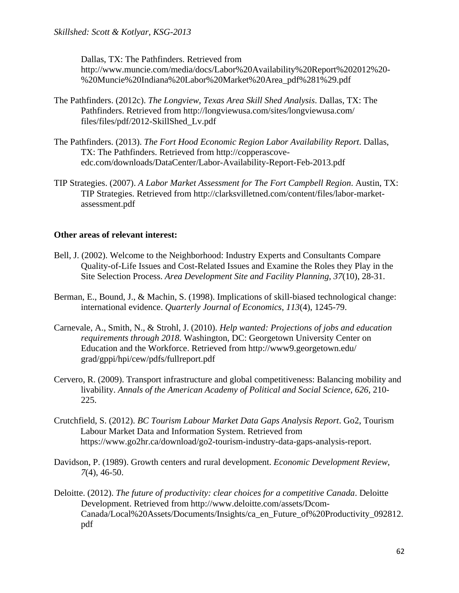Dallas, TX: The Pathfinders. Retrieved from http://www.muncie.com/media/docs/Labor%20Availability%20Report%202012%20- %20Muncie%20Indiana%20Labor%20Market%20Area\_pdf%281%29.pdf

- The Pathfinders. (2012c). *The Longview, Texas Area Skill Shed Analysis*. Dallas, TX: The Pathfinders. Retrieved from http://longviewusa.com/sites/longviewusa.com/ files/files/pdf/2012-SkillShed\_Lv.pdf
- The Pathfinders. (2013). *The Fort Hood Economic Region Labor Availability Report*. Dallas, TX: The Pathfinders. Retrieved from http://copperascoveedc.com/downloads/DataCenter/Labor-Availability-Report-Feb-2013.pdf
- TIP Strategies. (2007). *A Labor Market Assessment for The Fort Campbell Region*. Austin, TX: TIP Strategies. Retrieved from http://clarksvilletned.com/content/files/labor-marketassessment.pdf

### **Other areas of relevant interest:**

- Bell, J. (2002). Welcome to the Neighborhood: Industry Experts and Consultants Compare Quality-of-Life Issues and Cost-Related Issues and Examine the Roles they Play in the Site Selection Process. *Area Development Site and Facility Planning*, *37*(10), 28-31.
- Berman, E., Bound, J., & Machin, S. (1998). Implications of skill-biased technological change: international evidence. *Quarterly Journal of Economics*, *113*(4), 1245-79.
- Carnevale, A., Smith, N., & Strohl, J. (2010). *Help wanted: Projections of jobs and education requirements through 2018.* Washington, DC: Georgetown University Center on Education and the Workforce. Retrieved from http://www9.georgetown.edu/ grad/gppi/hpi/cew/pdfs/fullreport.pdf
- Cervero, R. (2009). Transport infrastructure and global competitiveness: Balancing mobility and livability. *Annals of the American Academy of Political and Social Science*, *626*, 210- 225.
- Crutchfield, S. (2012). *BC Tourism Labour Market Data Gaps Analysis Report*. Go2, Tourism Labour Market Data and Information System. Retrieved from https://www.go2hr.ca/download/go2-tourism-industry-data-gaps-analysis-report.
- Davidson, P. (1989). Growth centers and rural development. *Economic Development Review*, *7*(4), 46-50.
- Deloitte. (2012). *The future of productivity: clear choices for a competitive Canada*. Deloitte Development. Retrieved from http://www.deloitte.com/assets/Dcom-Canada/Local%20Assets/Documents/Insights/ca\_en\_Future\_of%20Productivity\_092812. pdf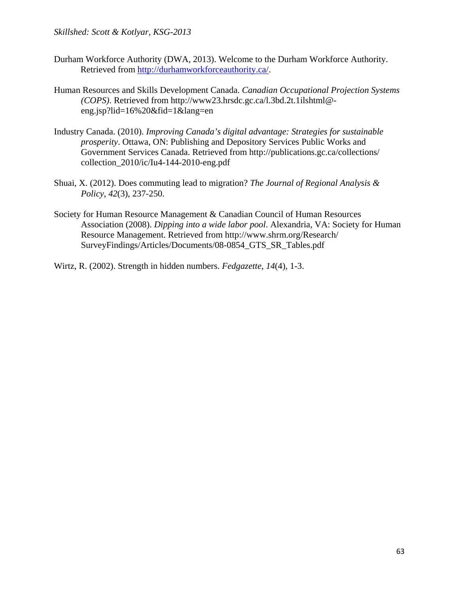- Durham Workforce Authority (DWA, 2013). Welcome to the Durham Workforce Authority. Retrieved from http://durhamworkforceauthority.ca/.
- Human Resources and Skills Development Canada. *Canadian Occupational Projection Systems (COPS)*. Retrieved from http://www23.hrsdc.gc.ca/l.3bd.2t.1ilshtml@ eng.jsp?lid=16%20&fid=1&lang=en
- Industry Canada. (2010). *Improving Canada's digital advantage: Strategies for sustainable prosperity*. Ottawa, ON: Publishing and Depository Services Public Works and Government Services Canada. Retrieved from http://publications.gc.ca/collections/ collection\_2010/ic/Iu4-144-2010-eng.pdf
- Shuai, X. (2012). Does commuting lead to migration? *The Journal of Regional Analysis & Policy*, *42*(3), 237-250.
- Society for Human Resource Management & Canadian Council of Human Resources Association (2008). *Dipping into a wide labor pool*. Alexandria, VA: Society for Human Resource Management. Retrieved from http://www.shrm.org/Research/ SurveyFindings/Articles/Documents/08-0854\_GTS\_SR\_Tables.pdf

Wirtz, R. (2002). Strength in hidden numbers. *Fedgazette*, *14*(4), 1-3.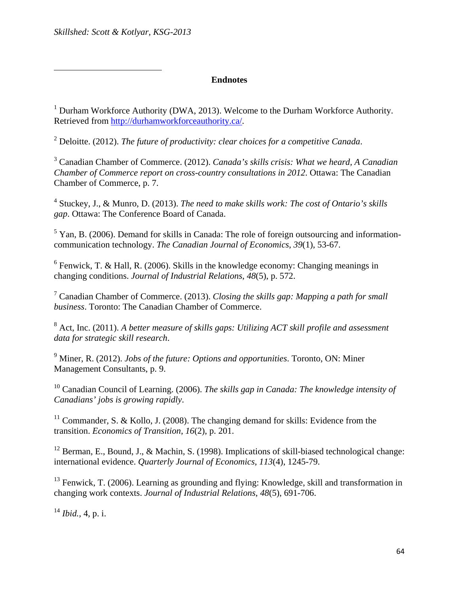### **Endnotes**

<sup>1</sup> Durham Workforce Authority (DWA, 2013). Welcome to the Durham Workforce Authority. Retrieved from http://durhamworkforceauthority.ca/.

2 Deloitte. (2012). *The future of productivity: clear choices for a competitive Canada*.

3 Canadian Chamber of Commerce. (2012). *Canada's skills crisis: What we heard, A Canadian Chamber of Commerce report on cross-country consultations in 2012*. Ottawa: The Canadian Chamber of Commerce, p. 7.

4 Stuckey, J., & Munro, D. (2013). *The need to make skills work: The cost of Ontario's skills gap*. Ottawa: The Conference Board of Canada.

 $<sup>5</sup>$  Yan, B. (2006). Demand for skills in Canada: The role of foreign outsourcing and information-</sup> communication technology. *The Canadian Journal of Economics*, *39*(1), 53-67.

 $6$  Fenwick, T. & Hall, R. (2006). Skills in the knowledge economy: Changing meanings in changing conditions. *Journal of Industrial Relations*, *48*(5), p. 572.

7 Canadian Chamber of Commerce. (2013). *Closing the skills gap: Mapping a path for small business*. Toronto: The Canadian Chamber of Commerce.

<sup>8</sup> Act, Inc. (2011). A better measure of skills gaps: Utilizing ACT skill profile and assessment *data for strategic skill research*.

9 Miner, R. (2012). *Jobs of the future: Options and opportunities*. Toronto, ON: Miner Management Consultants, p. 9.

10 Canadian Council of Learning. (2006). *The skills gap in Canada: The knowledge intensity of Canadians' jobs is growing rapidly*.

<sup>11</sup> Commander, S. & Kollo, J. (2008). The changing demand for skills: Evidence from the transition. *Economics of Transition*, *16*(2), p. 201.

<sup>12</sup> Berman, E., Bound, J., & Machin, S. (1998). Implications of skill-biased technological change: international evidence. *Quarterly Journal of Economics*, *113*(4), 1245-79.

<sup>13</sup> Fenwick, T. (2006). Learning as grounding and flying: Knowledge, skill and transformation in changing work contexts. *Journal of Industrial Relations*, *48*(5), 691-706.

<sup>14</sup> *Ibid.,* 4, p. i.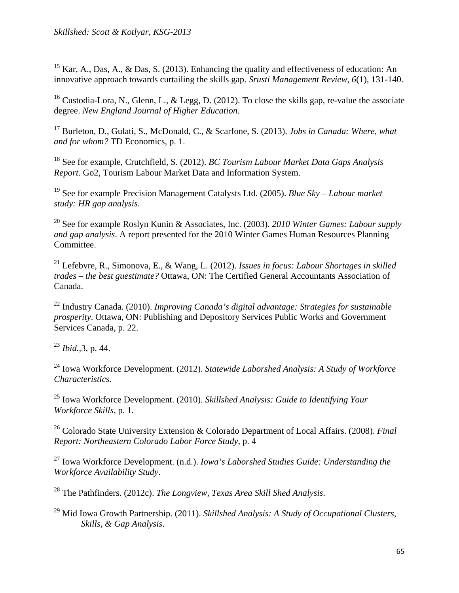<sup>15</sup> Kar, A., Das, A., & Das, S. (2013). Enhancing the quality and effectiveness of education: An innovative approach towards curtailing the skills gap. *Srusti Management Review*, *6*(1), 131-140.

<sup>16</sup> Custodia-Lora, N., Glenn, L., & Legg, D. (2012). To close the skills gap, re-value the associate degree. *New England Journal of Higher Education*.

17 Burleton, D., Gulati, S., McDonald, C., & Scarfone, S. (2013). *Jobs in Canada: Where, what and for whom?* TD Economics, p. 1.

18 See for example, Crutchfield, S. (2012). *BC Tourism Labour Market Data Gaps Analysis Report*. Go2, Tourism Labour Market Data and Information System.

19 See for example Precision Management Catalysts Ltd. (2005). *Blue Sky – Labour market study: HR gap analysis*.

20 See for example Roslyn Kunin & Associates, Inc. (2003). *2010 Winter Games: Labour supply and gap analysis*. A report presented for the 2010 Winter Games Human Resources Planning Committee.

21 Lefebvre, R., Simonova, E., & Wang, L. (2012). *Issues in focus: Labour Shortages in skilled trades – the best guestimate?* Ottawa, ON: The Certified General Accountants Association of Canada.

22 Industry Canada. (2010). *Improving Canada's digital advantage: Strategies for sustainable prosperity*. Ottawa, ON: Publishing and Depository Services Public Works and Government Services Canada, p. 22.

<sup>23</sup> *Ibid.,*3, p. 44.

24 Iowa Workforce Development. (2012). *Statewide Laborshed Analysis: A Study of Workforce Characteristics*.

25 Iowa Workforce Development. (2010). *Skillshed Analysis: Guide to Identifying Your Workforce Skills*, p. 1.

26 Colorado State University Extension & Colorado Department of Local Affairs. (2008). *Final Report: Northeastern Colorado Labor Force Study*, p. 4

27 Iowa Workforce Development. (n.d.). *Iowa's Laborshed Studies Guide: Understanding the Workforce Availability Study*.

28 The Pathfinders. (2012c). *The Longview, Texas Area Skill Shed Analysis*.

29 Mid Iowa Growth Partnership. (2011). *Skillshed Analysis: A Study of Occupational Clusters, Skills, & Gap Analysis*.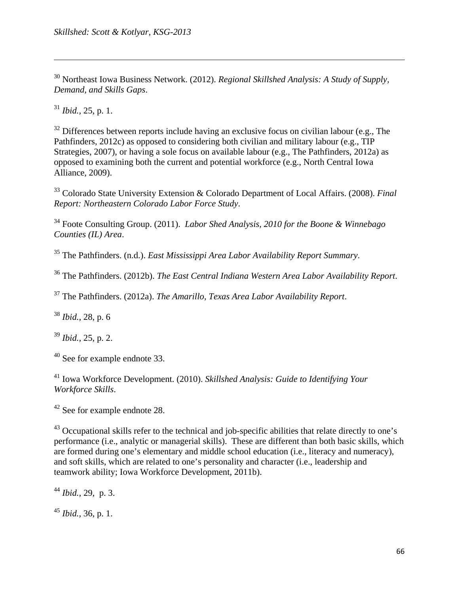30 Northeast Iowa Business Network. (2012). *Regional Skillshed Analysis: A Study of Supply, Demand, and Skills Gaps*.

<u> 1989 - Johann Stoff, amerikansk politiker (d. 1989)</u>

<sup>31</sup> *Ibid.,* 25, p. 1.

 $32$  Differences between reports include having an exclusive focus on civilian labour (e.g., The Pathfinders, 2012c) as opposed to considering both civilian and military labour (e.g., TIP Strategies, 2007), or having a sole focus on available labour (e.g., The Pathfinders, 2012a) as opposed to examining both the current and potential workforce (e.g., North Central Iowa Alliance, 2009).

33 Colorado State University Extension & Colorado Department of Local Affairs. (2008). *Final Report: Northeastern Colorado Labor Force Study*.

34 Foote Consulting Group. (2011). *Labor Shed Analysis, 2010 for the Boone & Winnebago Counties (IL) Area*.

35 The Pathfinders. (n.d.). *East Mississippi Area Labor Availability Report Summary*.

36 The Pathfinders. (2012b). *The East Central Indiana Western Area Labor Availability Report*.

37 The Pathfinders. (2012a). *The Amarillo, Texas Area Labor Availability Report*.

<sup>38</sup> *Ibid.,* 28, p. 6

<sup>39</sup> *Ibid.,* 25, p. 2.

40 See for example endnote 33.

41 Iowa Workforce Development. (2010). *Skillshed Analysis: Guide to Identifying Your Workforce Skills*.

42 See for example endnote 28.

43 Occupational skills refer to the technical and job-specific abilities that relate directly to one's performance (i.e., analytic or managerial skills). These are different than both basic skills, which are formed during one's elementary and middle school education (i.e., literacy and numeracy), and soft skills, which are related to one's personality and character (i.e., leadership and teamwork ability; Iowa Workforce Development, 2011b).

<sup>44</sup> *Ibid.,* 29, p. 3.

<sup>45</sup> *Ibid.,* 36, p. 1.